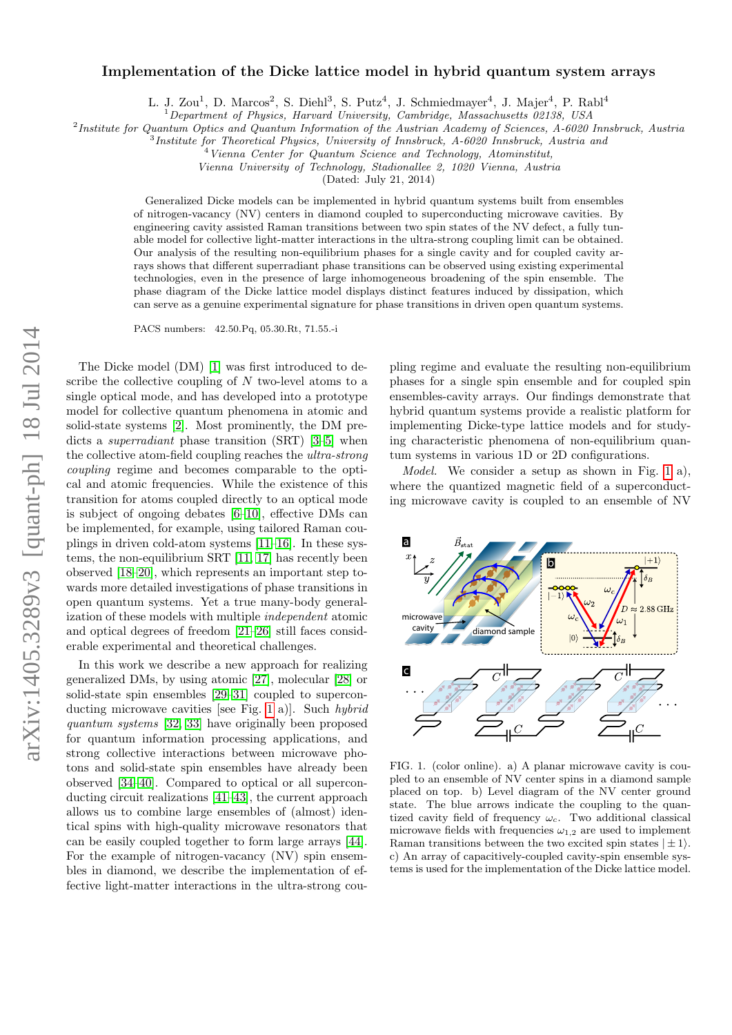# arXiv:1405.3289v3 [quant-ph] 18 Jul 2014 arXiv:1405.3289v3 [quant-ph] 18 Jul 2014

# Implementation of the Dicke lattice model in hybrid quantum system arrays

L. J. Zou<sup>1</sup>, D. Marcos<sup>2</sup>, S. Diehl<sup>3</sup>, S. Putz<sup>4</sup>, J. Schmiedmayer<sup>4</sup>, J. Majer<sup>4</sup>, P. Rabl<sup>4</sup>

<sup>1</sup>Department of Physics, Harvard University, Cambridge, Massachusetts 02138, USA

<sup>2</sup>Institute for Quantum Optics and Quantum Information of the Austrian Academy of Sciences, A-6020 Innsbruck, Austria

<sup>3</sup>Institute for Theoretical Physics, University of Innsbruck, A-6020 Innsbruck, Austria and

<sup>4</sup>Vienna Center for Quantum Science and Technology, Atominstitut,

Vienna University of Technology, Stadionallee 2, 1020 Vienna, Austria

(Dated: July 21, 2014)

Generalized Dicke models can be implemented in hybrid quantum systems built from ensembles of nitrogen-vacancy (NV) centers in diamond coupled to superconducting microwave cavities. By engineering cavity assisted Raman transitions between two spin states of the NV defect, a fully tunable model for collective light-matter interactions in the ultra-strong coupling limit can be obtained. Our analysis of the resulting non-equilibrium phases for a single cavity and for coupled cavity arrays shows that different superradiant phase transitions can be observed using existing experimental technologies, even in the presence of large inhomogeneous broadening of the spin ensemble. The phase diagram of the Dicke lattice model displays distinct features induced by dissipation, which can serve as a genuine experimental signature for phase transitions in driven open quantum systems.

PACS numbers: 42.50.Pq, 05.30.Rt, 71.55.-i

The Dicke model (DM) [\[1\]](#page-4-0) was first introduced to describe the collective coupling of  $N$  two-level atoms to a single optical mode, and has developed into a prototype model for collective quantum phenomena in atomic and solid-state systems [\[2\]](#page-4-1). Most prominently, the DM predicts a superradiant phase transition (SRT) [\[3–](#page-4-2)[5\]](#page-4-3) when the collective atom-field coupling reaches the ultra-strong coupling regime and becomes comparable to the optical and atomic frequencies. While the existence of this transition for atoms coupled directly to an optical mode is subject of ongoing debates [\[6–](#page-4-4)[10\]](#page-4-5), effective DMs can be implemented, for example, using tailored Raman couplings in driven cold-atom systems [\[11](#page-4-6)[–16\]](#page-4-7). In these systems, the non-equilibrium SRT [\[11,](#page-4-6) [17\]](#page-4-8) has recently been observed [\[18](#page-4-9)[–20\]](#page-4-10), which represents an important step towards more detailed investigations of phase transitions in open quantum systems. Yet a true many-body generalization of these models with multiple independent atomic and optical degrees of freedom [\[21–](#page-4-11)[26\]](#page-4-12) still faces considerable experimental and theoretical challenges.

In this work we describe a new approach for realizing generalized DMs, by using atomic [\[27\]](#page-4-13), molecular [\[28\]](#page-4-14) or solid-state spin ensembles [\[29–](#page-4-15)[31\]](#page-4-16) coupled to superconducting microwave cavities [see Fig. [1](#page-0-0) a)]. Such hybrid quantum systems [\[32,](#page-4-17) [33\]](#page-4-18) have originally been proposed for quantum information processing applications, and strong collective interactions between microwave photons and solid-state spin ensembles have already been observed [\[34](#page-4-19)[–40\]](#page-4-20). Compared to optical or all superconducting circuit realizations [\[41–](#page-4-21)[43\]](#page-4-22), the current approach allows us to combine large ensembles of (almost) identical spins with high-quality microwave resonators that can be easily coupled together to form large arrays [\[44\]](#page-4-23). For the example of nitrogen-vacancy (NV) spin ensembles in diamond, we describe the implementation of effective light-matter interactions in the ultra-strong coupling regime and evaluate the resulting non-equilibrium phases for a single spin ensemble and for coupled spin ensembles-cavity arrays. Our findings demonstrate that hybrid quantum systems provide a realistic platform for implementing Dicke-type lattice models and for studying characteristic phenomena of non-equilibrium quantum systems in various 1D or 2D configurations.

Model. We consider a setup as shown in Fig. [1](#page-0-0) a), where the quantized magnetic field of a superconducting microwave cavity is coupled to an ensemble of NV



<span id="page-0-0"></span>FIG. 1. (color online). a) A planar microwave cavity is coupled to an ensemble of NV center spins in a diamond sample placed on top. b) Level diagram of the NV center ground state. The blue arrows indicate the coupling to the quantized cavity field of frequency  $\omega_c$ . Two additional classical microwave fields with frequencies  $\omega_{1,2}$  are used to implement Raman transitions between the two excited spin states  $|\pm 1\rangle$ . c) An array of capacitively-coupled cavity-spin ensemble systems is used for the implementation of the Dicke lattice model.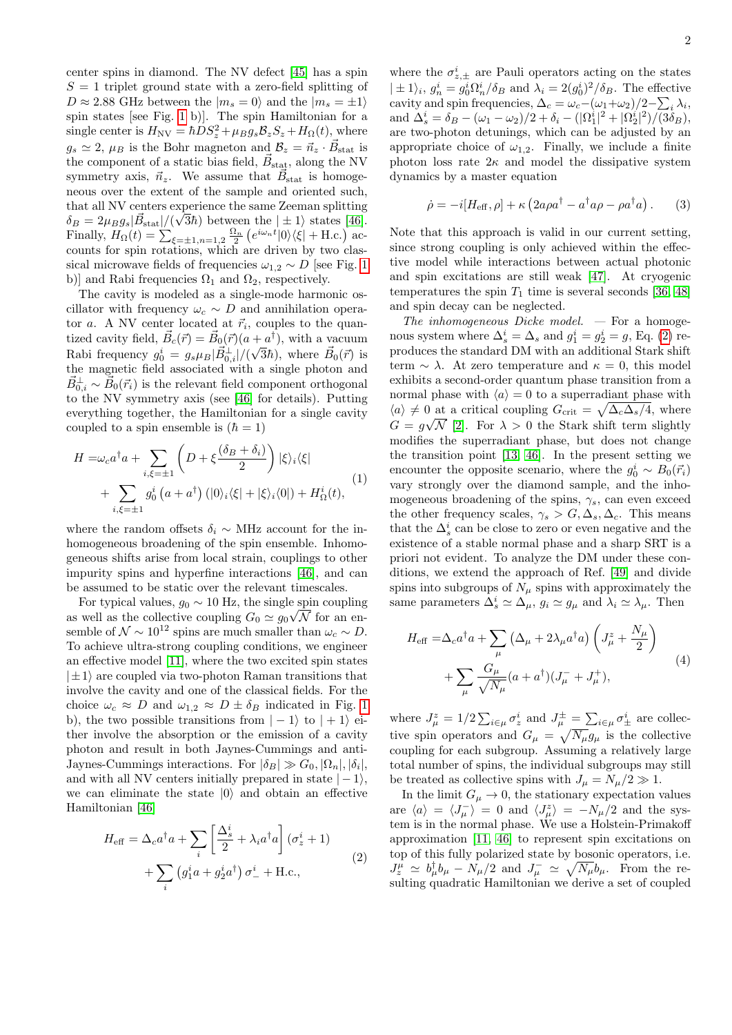center spins in diamond. The NV defect [\[45\]](#page-4-24) has a spin  $S = 1$  triplet ground state with a zero-field splitting of  $D \approx 2.88$  GHz between the  $|m_s = 0\rangle$  and the  $|m_s = \pm 1\rangle$ spin states [see Fig. [1](#page-0-0) b)]. The spin Hamiltonian for a single center is  $H_{\text{NV}} = \hbar D S_z^2 + \mu_B g_s \mathcal{B}_z S_z + H_{\Omega}(t)$ , where  $g_s \simeq 2, \mu_B$  is the Bohr magneton and  $B_z = \vec{n}_z \cdot \vec{B}_{stat}$  is the component of a static bias field,  $\vec{B}_{stat}$ , along the NV symmetry axis,  $\vec{n}_z$ . We assume that  $\vec{B}_{stat}$  is homogeneous over the extent of the sample and oriented such, that all NV centers experience the same Zeeman splitting  $\delta_B = 2\mu_B g_s |\vec{B}_{\rm stat}|/(\sqrt{3}\hbar)$  between the  $|\pm 1\rangle$  states [\[46\]](#page-4-25). Finally,  $H_{\Omega}(t) = \sum_{\xi = \pm 1, n = 1,2} \frac{\Omega_n}{2} \left( e^{i\omega_n t} |0\rangle\langle\xi| + \text{H.c.} \right)$  accounts for spin rotations, which are driven by two classical microwave fields of frequencies  $\omega_{1,2} \sim D$  [see Fig. [1](#page-0-0) b)] and Rabi frequencies  $\Omega_1$  and  $\Omega_2$ , respectively.

The cavity is modeled as a single-mode harmonic oscillator with frequency  $\omega_c \sim D$  and annihilation operator a. A NV center located at  $\vec{r}_i$ , couples to the quantized cavity field,  $\vec{B}_c(\vec{r}) = \vec{B}_0(\vec{r})(a + a^{\dagger})$ , with a vacuum Rabi frequency  $g_0^i = g_s \mu_B |\vec{B}_{0,i}^{\perp}|/(\sqrt{3}\hbar)$ , where  $\vec{B}_0(\vec{r})$  is the magnetic field associated with a single photon and  $\vec{B}_{0,i}^{\perp} \sim \vec{B}_0(\vec{r}_i)$  is the relevant field component orthogonal to the NV symmetry axis (see [\[46\]](#page-4-25) for details). Putting everything together, the Hamiltonian for a single cavity coupled to a spin ensemble is  $(\hbar = 1)$ 

<span id="page-1-1"></span>
$$
H = \omega_c a^\dagger a + \sum_{i,\xi=\pm 1} \left( D + \xi \frac{(\delta_B + \delta_i)}{2} \right) |\xi\rangle_i \langle \xi|
$$
  
+ 
$$
\sum_{i,\xi=\pm 1} g_0^i (a + a^\dagger) (|0\rangle_i \langle \xi| + |\xi\rangle_i \langle 0|) + H_\Omega^i(t),
$$
 (1)

where the random offsets  $\delta_i \sim \text{MHz}$  account for the inhomogeneous broadening of the spin ensemble. Inhomogeneous shifts arise from local strain, couplings to other impurity spins and hyperfine interactions [\[46\]](#page-4-25), and can be assumed to be static over the relevant timescales.

For typical values,  $g_0 \sim 10$  Hz, the single spin coupling as well as the collective coupling  $G_0 \simeq g_0 \sqrt{\mathcal{N}}$  for an ensemble of  $\mathcal{N} \sim 10^{12}$  spins are much smaller than  $\omega_c \sim D$ . To achieve ultra-strong coupling conditions, we engineer an effective model [\[11\]](#page-4-6), where the two excited spin states  $|\pm 1\rangle$  are coupled via two-photon Raman transitions that involve the cavity and one of the classical fields. For the choice  $\omega_c \approx D$  and  $\omega_{1,2} \approx D \pm \delta_B$  indicated in Fig. [1](#page-0-0) b), the two possible transitions from  $|-1\rangle$  to  $|+1\rangle$  either involve the absorption or the emission of a cavity photon and result in both Jaynes-Cummings and anti-Jaynes-Cummings interactions. For  $|\delta_B| \gg G_0$ ,  $|\Omega_n|, |\delta_i|$ , and with all NV centers initially prepared in state  $|-1\rangle$ , we can eliminate the state  $|0\rangle$  and obtain an effective Hamiltonian [\[46\]](#page-4-25)

<span id="page-1-0"></span>
$$
H_{\text{eff}} = \Delta_c a^{\dagger} a + \sum_{i} \left[ \frac{\Delta_s^i}{2} + \lambda_i a^{\dagger} a \right] (\sigma_z^i + 1)
$$
  
+ 
$$
\sum_{i} \left( g_1^i a + g_2^i a^{\dagger} \right) \sigma_-^i + \text{H.c.},
$$
 (2)

where the  $\sigma_{z,\pm}^{i}$  are Pauli operators acting on the states  $|\pm 1\rangle_i$ ,  $g_n^i = g_0^i \Omega_n^i / \delta_B$  and  $\lambda_i = 2(g_0^i)^2 / \delta_B$ . The effective cavity and spin frequencies,  $\Delta_c = \omega_c - (\omega_1 + \omega_2)/2 - \sum_i \lambda_i$ , and  $\Delta_s^i = \delta_B - (\omega_1 - \omega_2)/2 + \delta_i - (|\Omega_1^i|^2 + |\Omega_2^i|^2)/(\Im \delta_B)$ , are two-photon detunings, which can be adjusted by an appropriate choice of  $\omega_{1,2}$ . Finally, we include a finite photon loss rate  $2\kappa$  and model the dissipative system dynamics by a master equation

$$
\dot{\rho} = -i[H_{\text{eff}}, \rho] + \kappa \left(2a\rho a^{\dagger} - a^{\dagger} a\rho - \rho a^{\dagger} a\right). \tag{3}
$$

Note that this approach is valid in our current setting, since strong coupling is only achieved within the effective model while interactions between actual photonic and spin excitations are still weak [\[47\]](#page-4-26). At cryogenic temperatures the spin  $T_1$  time is several seconds [\[36,](#page-4-27) [48\]](#page-4-28) and spin decay can be neglected.

The inhomogeneous Dicke model.  $-$  For a homogenous system where  $\Delta_s^i = \Delta_s$  and  $g_1^i = g_2^i = g$ , Eq. [\(2\)](#page-1-0) reproduces the standard DM with an additional Stark shift term  $\sim \lambda$ . At zero temperature and  $\kappa = 0$ , this model exhibits a second-order quantum phase transition from a normal phase with  $\langle a \rangle = 0$  to a superradiant phase with  $\langle a \rangle \neq 0$  at a critical coupling  $G_{\text{crit}} = \sqrt{\Delta_c \Delta_s/4}$ , where  $G = g\sqrt{\mathcal{N}}$  [\[2\]](#page-4-1). For  $\lambda > 0$  the Stark shift term slightly modifies the superradiant phase, but does not change the transition point [\[13,](#page-4-29) [46\]](#page-4-25). In the present setting we encounter the opposite scenario, where the  $g_0^i \sim B_0(\vec{r}_i)$ vary strongly over the diamond sample, and the inhomogeneous broadening of the spins,  $\gamma_s$ , can even exceed the other frequency scales,  $\gamma_s > G, \Delta_s, \Delta_c$ . This means that the  $\Delta_s^i$  can be close to zero or even negative and the existence of a stable normal phase and a sharp SRT is a priori not evident. To analyze the DM under these conditions, we extend the approach of Ref. [\[49\]](#page-4-30) and divide spins into subgroups of  $N_\mu$  spins with approximately the same parameters  $\Delta_s^i \simeq \Delta_\mu$ ,  $g_i \simeq g_\mu$  and  $\lambda_i \simeq \lambda_\mu$ . Then

$$
H_{\text{eff}} = \Delta_c a^{\dagger} a + \sum_{\mu} \left( \Delta_{\mu} + 2\lambda_{\mu} a^{\dagger} a \right) \left( J_{\mu}^{z} + \frac{N_{\mu}}{2} \right)
$$
  
+ 
$$
\sum_{\mu} \frac{G_{\mu}}{\sqrt{N_{\mu}}} (a + a^{\dagger}) (J_{\mu}^{-} + J_{\mu}^{+}),
$$
 (4)

where  $J^z_\mu = 1/2 \sum_{i \in \mu} \sigma^i_z$  and  $J^\pm_\mu = \sum_{i \in \mu} \sigma^i_\pm$  are collective spin operators and  $G_{\mu} = \sqrt{N_{\mu}} g_{\mu}$  is the collective coupling for each subgroup. Assuming a relatively large total number of spins, the individual subgroups may still be treated as collective spins with  $J_{\mu} = N_{\mu}/2 \gg 1$ .

In the limit  $G_\mu \rightarrow 0,$  the stationary expectation values are  $\langle a \rangle = \langle J_{\mu}^{-} \rangle = 0$  and  $\langle J_{\mu}^{z} \rangle = -N_{\mu}/2$  and the system is in the normal phase. We use a Holstein-Primakoff approximation [\[11,](#page-4-6) [46\]](#page-4-25) to represent spin excitations on top of this fully polarized state by bosonic operators, i.e.  $J_z^{\mu} \simeq b^{\dagger}_{\mu}b_{\mu} - N_{\mu}/2$  and  $J_{\mu}^{-} \simeq \sqrt{N_{\mu}}b_{\mu}$ . From the resulting quadratic Hamiltonian we derive a set of coupled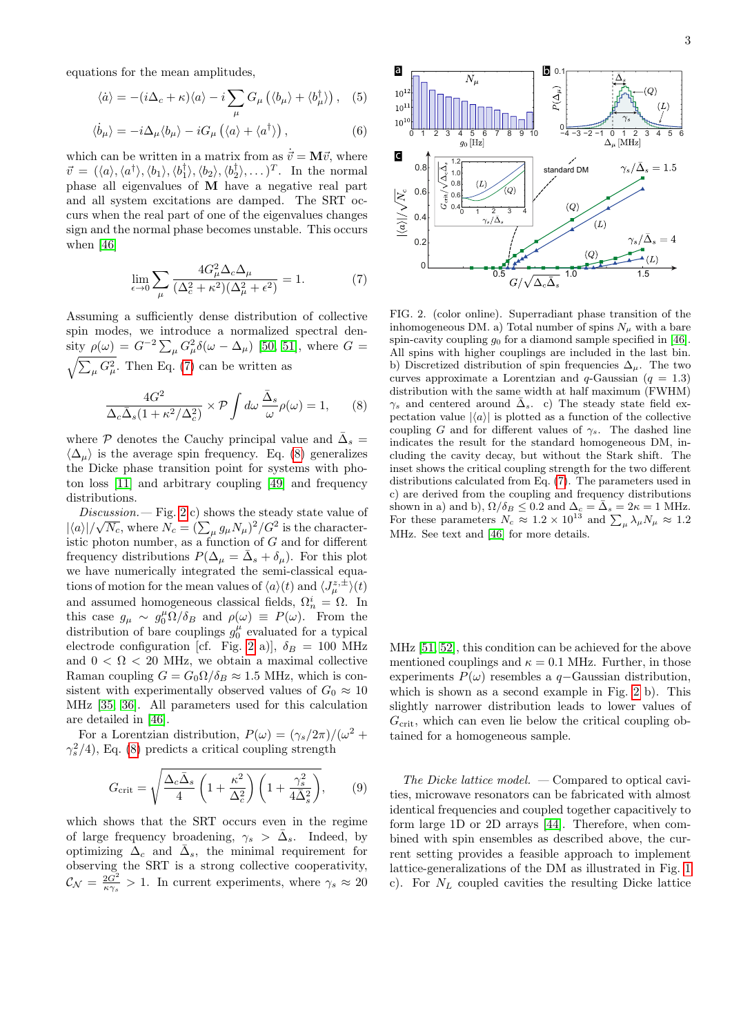equations for the mean amplitudes,

$$
\langle \dot{a} \rangle = - (i\Delta_c + \kappa) \langle a \rangle - i \sum_{\mu} G_{\mu} (\langle b_{\mu} \rangle + \langle b_{\mu}^{\dagger} \rangle), \quad (5)
$$

$$
\langle \dot{b}_{\mu} \rangle = -i \Delta_{\mu} \langle b_{\mu} \rangle - i G_{\mu} \left( \langle a \rangle + \langle a^{\dagger} \rangle \right), \tag{6}
$$

which can be written in a matrix from as  $\dot{\vec{v}} = M\vec{v}$ , where  $\vec{v} = (\langle a \rangle, \langle a^{\dagger} \rangle, \langle b_1 \rangle, \langle b_2^{\dagger} \rangle, \langle b_2 \rangle, \langle b_2^{\dagger} \rangle, \dots)^T$ . In the normal phase all eigenvalues of M have a negative real part and all system excitations are damped. The SRT occurs when the real part of one of the eigenvalues changes sign and the normal phase becomes unstable. This occurs when [\[46\]](#page-4-25)

<span id="page-2-0"></span>
$$
\lim_{\epsilon \to 0} \sum_{\mu} \frac{4G_{\mu}^2 \Delta_c \Delta_{\mu}}{(\Delta_c^2 + \kappa^2)(\Delta_{\mu}^2 + \epsilon^2)} = 1.
$$
 (7)

Assuming a sufficiently dense distribution of collective spin modes, we introduce a normalized spectral density  $\rho(\omega) = G^{-2} \sum_{\mu} G_{\mu}^2 \delta(\omega - \Delta_{\mu})$  [\[50,](#page-4-31) [51\]](#page-4-32), where  $G =$  $\sqrt{\sum_{\mu} G_{\mu}^2}$ . Then Eq. [\(7\)](#page-2-0) can be written as

<span id="page-2-1"></span>
$$
\frac{4G^2}{\Delta_c \bar{\Delta}_s (1 + \kappa^2/\Delta_c^2)} \times \mathcal{P} \int d\omega \, \frac{\bar{\Delta}_s}{\omega} \rho(\omega) = 1, \qquad (8)
$$

where  $P$  denotes the Cauchy principal value and  $\bar{\Delta}_s =$  $\langle \Delta_u \rangle$  is the average spin frequency. Eq. [\(8\)](#page-2-1) generalizes the Dicke phase transition point for systems with photon loss [\[11\]](#page-4-6) and arbitrary coupling [\[49\]](#page-4-30) and frequency distributions.

Discussion. — Fig. [2](#page-2-2) c) shows the steady state value of  $|\langle a \rangle| / \sqrt{N_c}$ , where  $N_c = (\sum_{\mu} g_{\mu} N_{\mu})^2 / G^2$  is the characteristic photon number, as a function of G and for different frequency distributions  $P(\Delta_{\mu} = \bar{\Delta}_s + \delta_{\mu})$ . For this plot we have numerically integrated the semi-classical equations of motion for the mean values of  $\langle a \rangle(t)$  and  $\langle J_{\mu}^{z,\pm} \rangle(t)$ and assumed homogeneous classical fields,  $\Omega_n^i = \Omega$ . In this case  $g_{\mu} \sim g_0^{\mu} \Omega / \delta_B$  and  $\rho(\omega) \equiv P(\omega)$ . From the distribution of bare couplings  $g_0^{\mu}$  evaluated for a typical electrode configuration [cf. Fig. [2](#page-2-2) a)],  $\delta_B = 100$  MHz and  $0 < \Omega < 20$  MHz, we obtain a maximal collective Raman coupling  $G = G_0 \Omega / \delta_B \approx 1.5$  MHz, which is consistent with experimentally observed values of  $G_0 \approx 10$ MHz [\[35,](#page-4-33) [36\]](#page-4-27). All parameters used for this calculation are detailed in [\[46\]](#page-4-25).

For a Lorentzian distribution,  $P(\omega) = (\gamma_s/2\pi)/(\omega^2 +$  $\gamma_s^2/4$ ), Eq. [\(8\)](#page-2-1) predicts a critical coupling strength

$$
G_{\rm crit} = \sqrt{\frac{\Delta_c \bar{\Delta}_s}{4} \left(1 + \frac{\kappa^2}{\Delta_c^2}\right) \left(1 + \frac{\gamma_s^2}{4\bar{\Delta}_s^2}\right)},\tag{9}
$$

which shows that the SRT occurs even in the regime of large frequency broadening,  $\gamma_s > \bar{\Delta}_s$ . Indeed, by optimizing  $\Delta_c$  and  $\bar{\Delta}_s$ , the minimal requirement for observing the SRT is a strong collective cooperativity,  $\mathcal{C}_{\mathcal{N}} = \frac{2G^2}{\kappa \gamma_s} > 1$ . In current experiments, where  $\gamma_s \approx 20$ 



<span id="page-2-2"></span>FIG. 2. (color online). Superradiant phase transition of the inhomogeneous DM. a) Total number of spins  $N_{\mu}$  with a bare spin-cavity coupling  $g_0$  for a diamond sample specified in [\[46\]](#page-4-25). All spins with higher couplings are included in the last bin. b) Discretized distribution of spin frequencies  $\Delta_{\mu}$ . The two curves approximate a Lorentzian and  $q$ -Gaussian ( $q = 1.3$ ) distribution with the same width at half maximum (FWHM)  $\gamma_s$  and centered around  $\bar{\Delta}_s$ . c) The steady state field expectation value  $|\langle a \rangle|$  is plotted as a function of the collective coupling G and for different values of  $\gamma_s$ . The dashed line indicates the result for the standard homogeneous DM, including the cavity decay, but without the Stark shift. The inset shows the critical coupling strength for the two different distributions calculated from Eq. [\(7\)](#page-2-0). The parameters used in c) are derived from the coupling and frequency distributions shown in a) and b),  $\Omega/\delta_B \leq 0.2$  and  $\Delta_c = \bar{\Delta}_s = 2\kappa = 1$  MHz. For these parameters  $N_c \approx 1.2 \times 10^{13}$  and  $\sum_{\mu} \lambda_{\mu} N_{\mu} \approx 1.2$ MHz. See text and [\[46\]](#page-4-25) for more details.

MHz [\[51,](#page-4-32) [52\]](#page-4-34), this condition can be achieved for the above mentioned couplings and  $\kappa = 0.1$  MHz. Further, in those experiments  $P(\omega)$  resembles a q–Gaussian distribution, which is shown as a second example in Fig. [2](#page-2-2) b). This slightly narrower distribution leads to lower values of  $G<sub>crit</sub>$ , which can even lie below the critical coupling obtained for a homogeneous sample.

The Dicke lattice model.  $-$  Compared to optical cavities, microwave resonators can be fabricated with almost identical frequencies and coupled together capacitively to form large 1D or 2D arrays [\[44\]](#page-4-23). Therefore, when combined with spin ensembles as described above, the current setting provides a feasible approach to implement lattice-generalizations of the DM as illustrated in Fig. [1](#page-0-0) c). For  $N_L$  coupled cavities the resulting Dicke lattice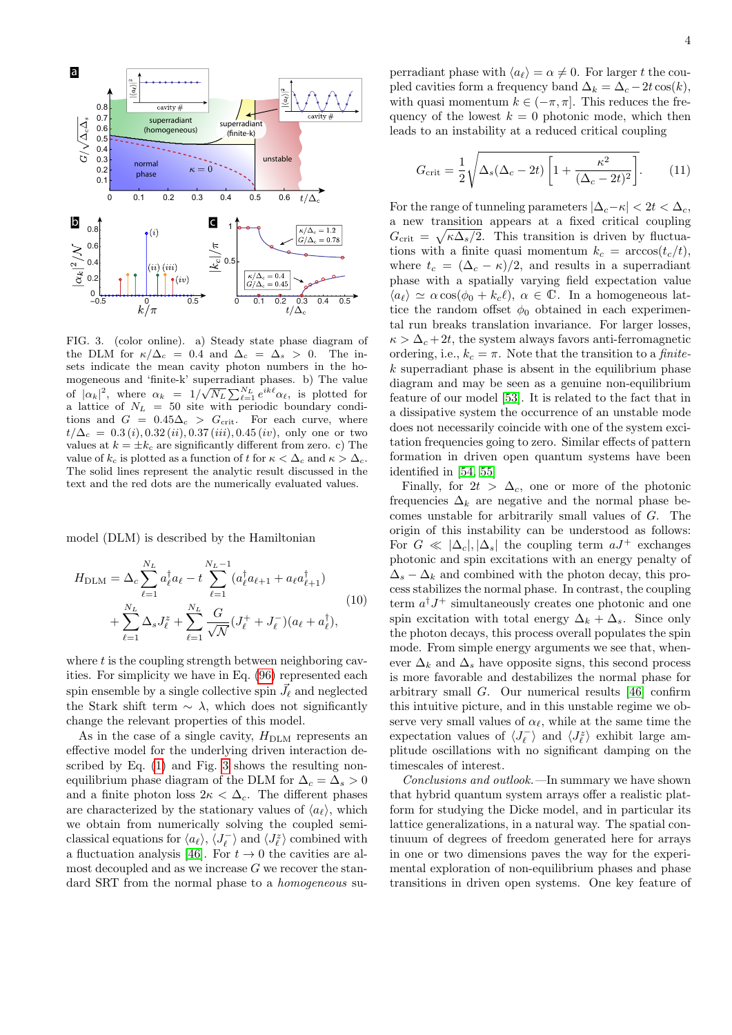

<span id="page-3-0"></span>FIG. 3. (color online). a) Steady state phase diagram of the DLM for  $\kappa/\Delta_c = 0.4$  and  $\Delta_c = \Delta_s > 0$ . The insets indicate the mean cavity photon numbers in the homogeneous and 'finite-k' superradiant phases. b) The value mogeneous and inne-**K** superradiant phases. b) The value<br>of  $|\alpha_k|^2$ , where  $\alpha_k = 1/\sqrt{N_L} \sum_{\ell=1}^{N_L} e^{ik\ell} \alpha_\ell$ , is plotted for a lattice of  $N_L = 50$  site with periodic boundary conditions and  $G = 0.45\Delta_c > G_{\text{crit}}$ . For each curve, where  $t/\Delta_c = 0.3(i), 0.32(ii), 0.37(iii), 0.45(iv),$  only one or two values at  $k = \pm k_c$  are significantly different from zero. c) The value of  $k_c$  is plotted as a function of t for  $\kappa < \Delta_c$  and  $\kappa > \Delta_c$ . The solid lines represent the analytic result discussed in the text and the red dots are the numerically evaluated values.

model (DLM) is described by the Hamiltonian

$$
H_{\text{DLM}} = \Delta_c \sum_{\ell=1}^{N_L} a_{\ell}^{\dagger} a_{\ell} - t \sum_{\ell=1}^{N_L - 1} (a_{\ell}^{\dagger} a_{\ell+1} + a_{\ell} a_{\ell+1}^{\dagger})
$$
  
+ 
$$
\sum_{\ell=1}^{N_L} \Delta_s J_{\ell}^z + \sum_{\ell=1}^{N_L} \frac{G}{\sqrt{N}} (J_{\ell}^+ + J_{\ell}^-) (a_{\ell} + a_{\ell}^{\dagger}),
$$
(10)

where  $t$  is the coupling strength between neighboring cavities. For simplicity we have in Eq. [\(96\)](#page-18-0) represented each spin ensemble by a single collective spin  $\vec{J}_{\ell}$  and neglected the Stark shift term  $\sim \lambda$ , which does not significantly change the relevant properties of this model.

As in the case of a single cavity,  $H<sub>DLM</sub>$  represents an effective model for the underlying driven interaction described by Eq. [\(1\)](#page-1-1) and Fig. [3](#page-3-0) shows the resulting nonequilibrium phase diagram of the DLM for  $\Delta_c = \Delta_s > 0$ and a finite photon loss  $2\kappa < \Delta_c$ . The different phases are characterized by the stationary values of  $\langle a_{\ell} \rangle$ , which we obtain from numerically solving the coupled semiclassical equations for  $\langle a_{\ell} \rangle$ ,  $\langle J_{\ell}^- \rangle$  and  $\langle J_{\ell}^z \rangle$  combined with a fluctuation analysis [\[46\]](#page-4-25). For  $t \to 0$  the cavities are almost decoupled and as we increase  $G$  we recover the standard SRT from the normal phase to a *homogeneous* superradiant phase with  $\langle a_{\ell} \rangle = \alpha \neq 0$ . For larger t the coupled cavities form a frequency band  $\Delta_k = \Delta_c - 2t \cos(k)$ , with quasi momentum  $k \in (-\pi, \pi]$ . This reduces the frequency of the lowest  $k = 0$  photonic mode, which then leads to an instability at a reduced critical coupling

$$
G_{\rm crit} = \frac{1}{2} \sqrt{\Delta_s (\Delta_c - 2t) \left[ 1 + \frac{\kappa^2}{(\Delta_c - 2t)^2} \right]}.
$$
 (11)

For the range of tunneling parameters  $|\Delta_c - \kappa| < 2t < \Delta_c$ , a new transition appears at a fixed critical coupling  $G_{\text{crit}} = \sqrt{\kappa \Delta_s/2}$ . This transition is driven by fluctuations with a finite quasi momentum  $k_c = \arccos(t_c/t)$ , where  $t_c = (\Delta_c - \kappa)/2$ , and results in a superradiant phase with a spatially varying field expectation value  $\langle a_{\ell} \rangle \simeq \alpha \cos(\phi_0 + k_c \ell), \ \alpha \in \mathbb{C}$ . In a homogeneous lattice the random offset  $\phi_0$  obtained in each experimental run breaks translation invariance. For larger losses,  $\kappa > \Delta_c + 2t$ , the system always favors anti-ferromagnetic ordering, i.e.,  $k_c = \pi$ . Note that the transition to a *finite* $k$  superradiant phase is absent in the equilibrium phase diagram and may be seen as a genuine non-equilibrium feature of our model [\[53\]](#page-5-0). It is related to the fact that in a dissipative system the occurrence of an unstable mode does not necessarily coincide with one of the system excitation frequencies going to zero. Similar effects of pattern formation in driven open quantum systems have been identified in [\[54,](#page-5-1) [55\]](#page-5-2)

Finally, for  $2t > \Delta_c$ , one or more of the photonic frequencies  $\Delta_k$  are negative and the normal phase becomes unstable for arbitrarily small values of G. The origin of this instability can be understood as follows: For  $G \ll |\Delta_c|, |\Delta_s|$  the coupling term  $aJ^+$  exchanges photonic and spin excitations with an energy penalty of  $\Delta_s - \Delta_k$  and combined with the photon decay, this process stabilizes the normal phase. In contrast, the coupling term  $a^{\dagger} J^+$  simultaneously creates one photonic and one spin excitation with total energy  $\Delta_k + \Delta_s$ . Since only the photon decays, this process overall populates the spin mode. From simple energy arguments we see that, whenever  $\Delta_k$  and  $\Delta_s$  have opposite signs, this second process is more favorable and destabilizes the normal phase for arbitrary small G. Our numerical results [\[46\]](#page-4-25) confirm this intuitive picture, and in this unstable regime we observe very small values of  $\alpha_{\ell}$ , while at the same time the expectation values of  $\langle J_{\ell}^- \rangle$  and  $\langle J_{\ell}^z \rangle$  exhibit large amplitude oscillations with no significant damping on the timescales of interest.

Conclusions and outlook.—In summary we have shown that hybrid quantum system arrays offer a realistic platform for studying the Dicke model, and in particular its lattice generalizations, in a natural way. The spatial continuum of degrees of freedom generated here for arrays in one or two dimensions paves the way for the experimental exploration of non-equilibrium phases and phase transitions in driven open systems. One key feature of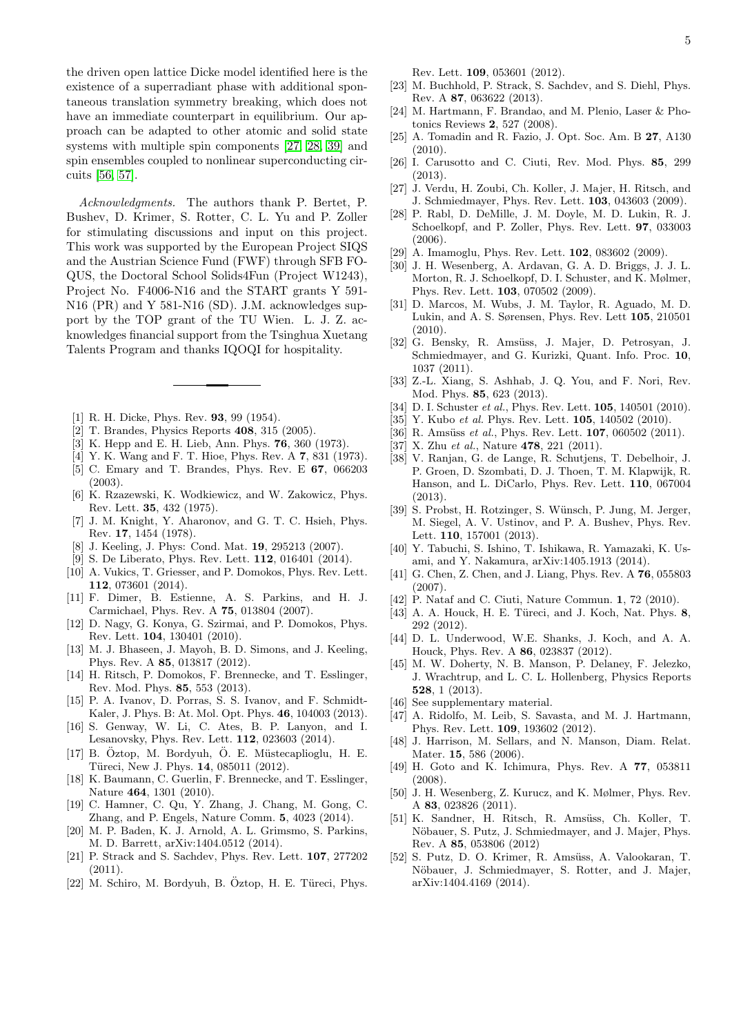the driven open lattice Dicke model identified here is the existence of a superradiant phase with additional spontaneous translation symmetry breaking, which does not have an immediate counterpart in equilibrium. Our approach can be adapted to other atomic and solid state systems with multiple spin components [\[27,](#page-4-13) [28,](#page-4-14) [39\]](#page-4-35) and spin ensembles coupled to nonlinear superconducting circuits [\[56,](#page-5-3) [57\]](#page-5-4).

Acknowledgments. The authors thank P. Bertet, P. Bushev, D. Krimer, S. Rotter, C. L. Yu and P. Zoller for stimulating discussions and input on this project. This work was supported by the European Project SIQS and the Austrian Science Fund (FWF) through SFB FO-QUS, the Doctoral School Solids4Fun (Project W1243), Project No. F4006-N16 and the START grants Y 591- N16 (PR) and Y 581-N16 (SD). J.M. acknowledges support by the TOP grant of the TU Wien. L. J. Z. acknowledges financial support from the Tsinghua Xuetang Talents Program and thanks IQOQI for hospitality.

- <span id="page-4-0"></span>[1] R. H. Dicke, Phys. Rev. **93**, 99 (1954).
- <span id="page-4-1"></span>[2] T. Brandes, Physics Reports 408, 315 (2005).
- <span id="page-4-2"></span>[3] K. Hepp and E. H. Lieb, Ann. Phys. 76, 360 (1973).
- [4] Y. K. Wang and F. T. Hioe, Phys. Rev. A 7, 831 (1973).
- <span id="page-4-3"></span>[5] C. Emary and T. Brandes, Phys. Rev. E 67, 066203 (2003).
- <span id="page-4-4"></span>[6] K. Rzazewski, K. Wodkiewicz, and W. Zakowicz, Phys. Rev. Lett. 35, 432 (1975).
- [7] J. M. Knight, Y. Aharonov, and G. T. C. Hsieh, Phys. Rev. 17, 1454 (1978).
- [8] J. Keeling, J. Phys: Cond. Mat. 19, 295213 (2007).
- [9] S. De Liberato, Phys. Rev. Lett. **112**, 016401 (2014).
- <span id="page-4-5"></span>[10] A. Vukics, T. Griesser, and P. Domokos, Phys. Rev. Lett. 112, 073601 (2014).
- <span id="page-4-6"></span>[11] F. Dimer, B. Estienne, A. S. Parkins, and H. J. Carmichael, Phys. Rev. A 75, 013804 (2007).
- [12] D. Nagy, G. Konya, G. Szirmai, and P. Domokos, Phys. Rev. Lett. 104, 130401 (2010).
- <span id="page-4-29"></span>[13] M. J. Bhaseen, J. Mayoh, B. D. Simons, and J. Keeling, Phys. Rev. A 85, 013817 (2012).
- [14] H. Ritsch, P. Domokos, F. Brennecke, and T. Esslinger, Rev. Mod. Phys. 85, 553 (2013).
- [15] P. A. Ivanov, D. Porras, S. S. Ivanov, and F. Schmidt-Kaler, J. Phys. B: At. Mol. Opt. Phys. 46, 104003 (2013).
- <span id="page-4-7"></span>[16] S. Genway, W. Li, C. Ates, B. P. Lanyon, and I. Lesanovsky, Phys. Rev. Lett. 112, 023603 (2014).
- <span id="page-4-8"></span>[17] B. Öztop, M. Bordyuh, Ö. E. Müstecaplioglu, H. E. Türeci, New J. Phys. 14, 085011 (2012).
- <span id="page-4-9"></span>[18] K. Baumann, C. Guerlin, F. Brennecke, and T. Esslinger, Nature 464, 1301 (2010).
- [19] C. Hamner, C. Qu, Y. Zhang, J. Chang, M. Gong, C. Zhang, and P. Engels, Nature Comm. 5, 4023 (2014).
- <span id="page-4-10"></span>[20] M. P. Baden, K. J. Arnold, A. L. Grimsmo, S. Parkins, M. D. Barrett, arXiv:1404.0512 (2014).
- <span id="page-4-11"></span>[21] P. Strack and S. Sachdev, Phys. Rev. Lett. 107, 277202 (2011).
- $[22]$  M. Schiro, M. Bordyuh, B. Öztop, H. E. Türeci, Phys.

Rev. Lett. 109, 053601 (2012).

- [23] M. Buchhold, P. Strack, S. Sachdev, and S. Diehl, Phys. Rev. A 87, 063622 (2013).
- [24] M. Hartmann, F. Brandao, and M. Plenio, Laser & Photonics Reviews 2, 527 (2008).
- [25] A. Tomadin and R. Fazio, J. Opt. Soc. Am. B 27, A130  $(2010)$ .
- <span id="page-4-12"></span>[26] I. Carusotto and C. Ciuti, Rev. Mod. Phys. 85, 299 (2013).
- <span id="page-4-13"></span>[27] J. Verdu, H. Zoubi, Ch. Koller, J. Majer, H. Ritsch, and J. Schmiedmayer, Phys. Rev. Lett. 103, 043603 (2009).
- <span id="page-4-14"></span>[28] P. Rabl, D. DeMille, J. M. Doyle, M. D. Lukin, R. J. Schoelkopf, and P. Zoller, Phys. Rev. Lett. 97, 033003 (2006).
- <span id="page-4-15"></span>[29] A. Imamoglu, Phys. Rev. Lett. **102**, 083602 (2009).
- [30] J. H. Wesenberg, A. Ardavan, G. A. D. Briggs, J. J. L. Morton, R. J. Schoelkopf, D. I. Schuster, and K. Mølmer, Phys. Rev. Lett. 103, 070502 (2009).
- <span id="page-4-16"></span>[31] D. Marcos, M. Wubs, J. M. Taylor, R. Aguado, M. D. Lukin, and A. S. Sørensen, Phys. Rev. Lett 105, 210501 (2010).
- <span id="page-4-17"></span>[32] G. Bensky, R. Amsüss, J. Majer, D. Petrosyan, J. Schmiedmayer, and G. Kurizki, Quant. Info. Proc. 10, 1037 (2011).
- <span id="page-4-18"></span>[33] Z.-L. Xiang, S. Ashhab, J. Q. You, and F. Nori, Rev. Mod. Phys. 85, 623 (2013).
- <span id="page-4-19"></span>[34] D. I. Schuster *et al.*, Phys. Rev. Lett. **105**, 140501 (2010).
- <span id="page-4-33"></span>[35] Y. Kubo et al. Phys. Rev. Lett. **105**, 140502 (2010).
- <span id="page-4-27"></span>[36] R. Amsüss et al., Phys. Rev. Lett.  $107$ , 060502 (2011).
- [37] X. Zhu et al., Nature **478**, 221 (2011).
- [38] V. Ranjan, G. de Lange, R. Schutjens, T. Debelhoir, J. P. Groen, D. Szombati, D. J. Thoen, T. M. Klapwijk, R. Hanson, and L. DiCarlo, Phys. Rev. Lett. 110, 067004 (2013).
- <span id="page-4-35"></span>[39] S. Probst, H. Rotzinger, S. Wünsch, P. Jung, M. Jerger, M. Siegel, A. V. Ustinov, and P. A. Bushev, Phys. Rev. Lett. 110, 157001 (2013).
- <span id="page-4-20"></span>[40] Y. Tabuchi, S. Ishino, T. Ishikawa, R. Yamazaki, K. Usami, and Y. Nakamura, arXiv:1405.1913 (2014).
- <span id="page-4-21"></span>[41] G. Chen, Z. Chen, and J. Liang, Phys. Rev. A **76**, 055803 (2007).
- [42] P. Nataf and C. Ciuti, Nature Commun. 1, 72 (2010).
- <span id="page-4-22"></span>[43] A. A. Houck, H. E. Türeci, and J. Koch, Nat. Phys.  $8$ , 292 (2012).
- <span id="page-4-23"></span>[44] D. L. Underwood, W.E. Shanks, J. Koch, and A. A. Houck, Phys. Rev. A 86, 023837 (2012).
- <span id="page-4-24"></span>[45] M. W. Doherty, N. B. Manson, P. Delaney, F. Jelezko, J. Wrachtrup, and L. C. L. Hollenberg, Physics Reports 528, 1 (2013).
- <span id="page-4-25"></span>[46] See supplementary material.
- <span id="page-4-26"></span>[47] A. Ridolfo, M. Leib, S. Savasta, and M. J. Hartmann, Phys. Rev. Lett. 109, 193602 (2012).
- <span id="page-4-28"></span>[48] J. Harrison, M. Sellars, and N. Manson, Diam. Relat. Mater. **15**, 586 (2006).
- <span id="page-4-30"></span>[49] H. Goto and K. Ichimura, Phys. Rev. A 77, 053811 (2008).
- <span id="page-4-31"></span>[50] J. H. Wesenberg, Z. Kurucz, and K. Mølmer, Phys. Rev. A 83, 023826 (2011).
- <span id="page-4-32"></span>[51] K. Sandner, H. Ritsch, R. Amsüss, Ch. Koller, T. Nöbauer, S. Putz, J. Schmiedmayer, and J. Majer, Phys. Rev. A 85, 053806 (2012)
- <span id="page-4-34"></span>[52] S. Putz, D. O. Krimer, R. Amsüss, A. Valookaran, T. Nöbauer, J. Schmiedmayer, S. Rotter, and J. Majer, arXiv:1404.4169 (2014).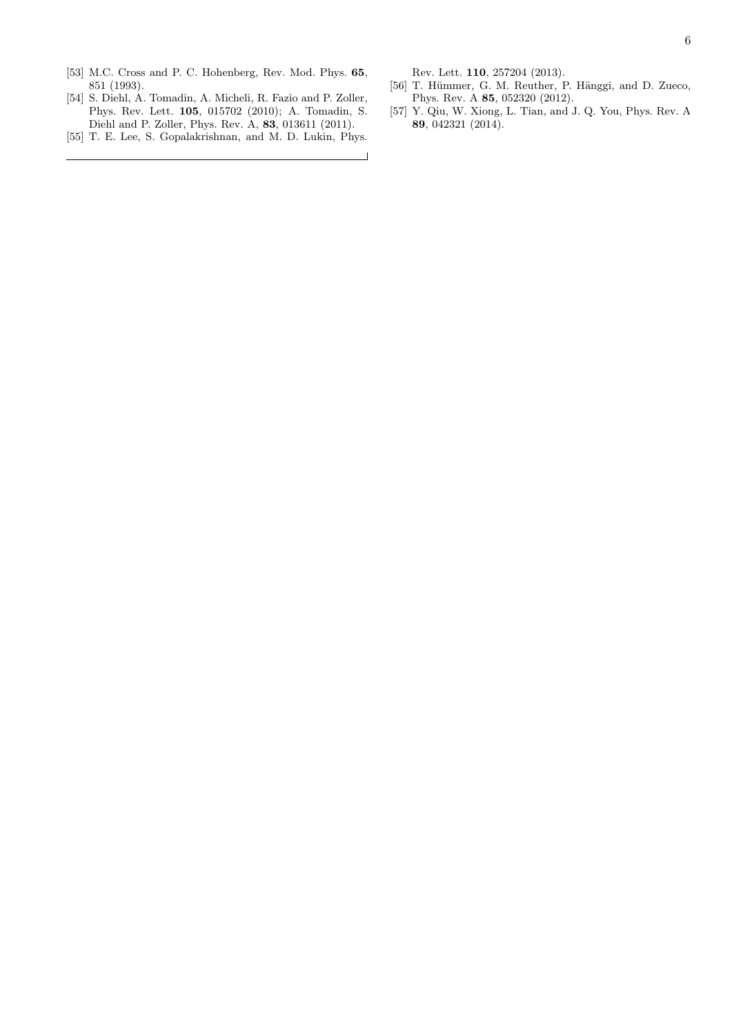- <span id="page-5-0"></span>[53] M.C. Cross and P. C. Hohenberg, Rev. Mod. Phys. 65, 851 (1993).
- <span id="page-5-1"></span>[54] S. Diehl, A. Tomadin, A. Micheli, R. Fazio and P. Zoller, Phys. Rev. Lett. 105, 015702 (2010); A. Tomadin, S. Diehl and P. Zoller, Phys. Rev. A, 83, 013611 (2011).
- <span id="page-5-2"></span>[55] T. E. Lee, S. Gopalakrishnan, and M. D. Lukin, Phys.

Rev. Lett. 110, 257204 (2013).

 $\overline{\phantom{a}}$ 

- <span id="page-5-3"></span>[56] T. Hümmer, G. M. Reuther, P. Hänggi, and D. Zueco, Phys. Rev. A 85, 052320 (2012).
- <span id="page-5-4"></span>[57] Y. Qiu, W. Xiong, L. Tian, and J. Q. You, Phys. Rev. A 89, 042321 (2014).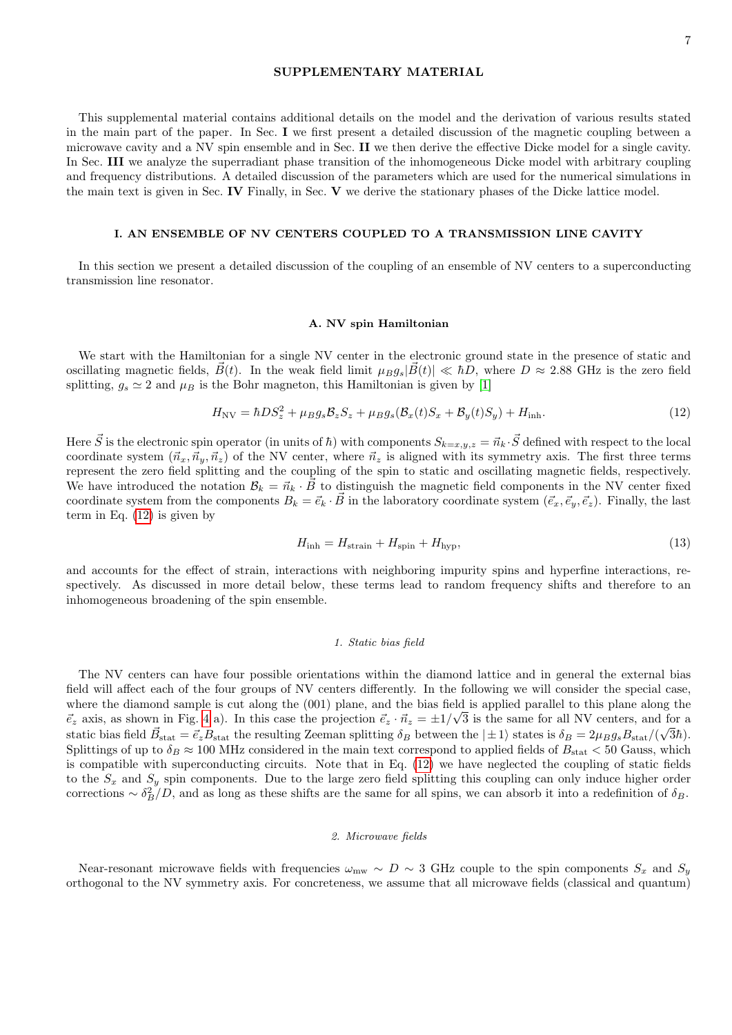# SUPPLEMENTARY MATERIAL

This supplemental material contains additional details on the model and the derivation of various results stated in the main part of the paper. In Sec. I we first present a detailed discussion of the magnetic coupling between a microwave cavity and a NV spin ensemble and in Sec. II we then derive the effective Dicke model for a single cavity. In Sec. III we analyze the superradiant phase transition of the inhomogeneous Dicke model with arbitrary coupling and frequency distributions. A detailed discussion of the parameters which are used for the numerical simulations in the main text is given in Sec. IV Finally, in Sec. V we derive the stationary phases of the Dicke lattice model.

### I. AN ENSEMBLE OF NV CENTERS COUPLED TO A TRANSMISSION LINE CAVITY

In this section we present a detailed discussion of the coupling of an ensemble of NV centers to a superconducting transmission line resonator.

### A. NV spin Hamiltonian

We start with the Hamiltonian for a single NV center in the electronic ground state in the presence of static and oscillating magnetic fields,  $\vec{B}(t)$ . In the weak field limit  $\mu_{B}g_{s}|\vec{B}(t)| \ll \hbar D$ , where  $D \approx 2.88$  GHz is the zero field splitting,  $g_s \simeq 2$  and  $\mu_B$  is the Bohr magneton, this Hamiltonian is given by [\[1\]](#page-22-0)

<span id="page-6-0"></span>
$$
H_{\rm NV} = \hbar D S_z^2 + \mu_B g_s \mathcal{B}_z S_z + \mu_B g_s (\mathcal{B}_x(t) S_x + \mathcal{B}_y(t) S_y) + H_{\rm inh}.
$$
\n(12)

Here  $\vec{S}$  is the electronic spin operator (in units of  $\hbar$ ) with components  $S_{k=x,y,z} = \vec{n}_k \cdot \vec{S}$  defined with respect to the local coordinate system  $(\vec{n}_x, \vec{n}_y, \vec{n}_z)$  of the NV center, where  $\vec{n}_z$  is aligned with its symmetry axis. The first three terms represent the zero field splitting and the coupling of the spin to static and oscillating magnetic fields, respectively. We have introduced the notation  $B_k = \vec{n}_k \cdot \vec{B}$  to distinguish the magnetic field components in the NV center fixed coordinate system from the components  $B_k = \vec{e}_k \cdot \vec{B}$  in the laboratory coordinate system  $(\vec{e}_x, \vec{e}_y, \vec{e}_z)$ . Finally, the last term in Eq.  $(12)$  is given by

$$
H_{\rm inh} = H_{\rm strain} + H_{\rm spin} + H_{\rm hyp},\tag{13}
$$

and accounts for the effect of strain, interactions with neighboring impurity spins and hyperfine interactions, respectively. As discussed in more detail below, these terms lead to random frequency shifts and therefore to an inhomogeneous broadening of the spin ensemble.

# 1. Static bias field

The NV centers can have four possible orientations within the diamond lattice and in general the external bias field will affect each of the four groups of NV centers differently. In the following we will consider the special case, where the diamond sample is cut along the  $(001)$  plane, and the bias field is applied parallel to this plane along the  $\vec{e}_z$  axis, as shown in Fig. [4](#page-7-0) a). In this case the projection  $\vec{e}_z \cdot \vec{n}_z = \pm 1/\sqrt{3}$  is the same for all NV centers, and for a static bias field  $\vec{B}_{stat} = \vec{e}_z B_{stat}$  the resulting Zeeman splitting  $\delta_B$  between the  $|\pm 1\rangle$  states is  $\delta_B = 2\mu_B g_s B_{stat}/(\sqrt{3}\hbar)$ . Splittings of up to  $\delta_B \approx 100$  MHz considered in the main text correspond to applied fields of  $B_{\text{stat}} < 50$  Gauss, which is compatible with superconducting circuits. Note that in Eq. [\(12\)](#page-6-0) we have neglected the coupling of static fields to the  $S_x$  and  $S_y$  spin components. Due to the large zero field splitting this coupling can only induce higher order corrections  $\sim \delta_B^2/D$ , and as long as these shifts are the same for all spins, we can absorb it into a redefinition of  $\delta_B$ .

### 2. Microwave fields

Near-resonant microwave fields with frequencies  $\omega_{\text{mw}} \sim D \sim 3$  GHz couple to the spin components  $S_x$  and  $S_y$ orthogonal to the NV symmetry axis. For concreteness, we assume that all microwave fields (classical and quantum)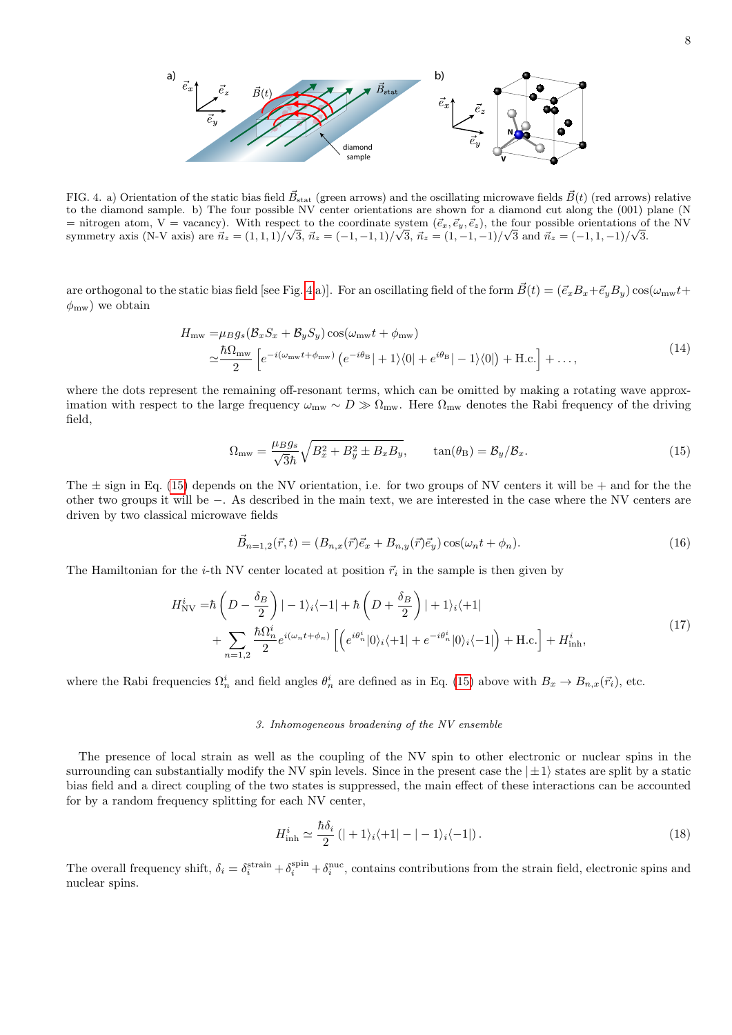

<span id="page-7-0"></span>FIG. 4. a) Orientation of the static bias field  $\vec{B}_{stat}$  (green arrows) and the oscillating microwave fields  $\vec{B}(t)$  (red arrows) relative to the diamond sample. b) The four possible NV center orientations are shown for a diamond cut along the (001) plane (N = nitrogen atom, V = vacancy). With respect to the coordinate system  $(\vec{e}_x, \vec{e}_y, \vec{e}_z)$ , the four possible orientations of the NV symmetry axis (N-V axis) are  $\vec{n}_z = (1, 1, 1)/\sqrt{3}$ ,  $\vec{n}_z = (-1, -1, 1)/\sqrt{3}$ ,  $\vec{n}_z = (1, -1, -1)/\sqrt{3}$  and  $\vec{n}_z = (-1, 1, -1)/\sqrt{3}$ .

are orthogonal to the static bias field [see Fig. [4](#page-7-0) a)]. For an oscillating field of the form  $\vec{B}(t) = (\vec{e}_x B_x + \vec{e}_y B_y) \cos(\omega_{\text{mw}}t +$  $\phi_{\text{mw}}$ ) we obtain

$$
H_{\text{mw}} = \mu_B g_s (\mathcal{B}_x S_x + \mathcal{B}_y S_y) \cos(\omega_{\text{mw}} t + \phi_{\text{mw}})
$$
  

$$
\simeq \frac{\hbar \Omega_{\text{mw}}}{2} \left[ e^{-i(\omega_{\text{mw}} t + \phi_{\text{mw}})} \left( e^{-i\theta_B} | + 1 \rangle \langle 0| + e^{i\theta_B} | - 1 \rangle \langle 0| \right) + \text{H.c.} \right] + \dots,
$$
\n(14)

where the dots represent the remaining off-resonant terms, which can be omitted by making a rotating wave approximation with respect to the large frequency  $\omega_{\rm mw} \sim D \gg \Omega_{\rm mw}$ . Here  $\Omega_{\rm mw}$  denotes the Rabi frequency of the driving field,

<span id="page-7-1"></span>
$$
\Omega_{\text{mw}} = \frac{\mu_B g_s}{\sqrt{3\hbar}} \sqrt{B_x^2 + B_y^2 \pm B_x B_y}, \qquad \tan(\theta_B) = \mathcal{B}_y / \mathcal{B}_x. \tag{15}
$$

The  $\pm$  sign in Eq. [\(15\)](#page-7-1) depends on the NV orientation, i.e. for two groups of NV centers it will be  $+$  and for the the other two groups it will be −. As described in the main text, we are interested in the case where the NV centers are driven by two classical microwave fields

$$
\vec{B}_{n=1,2}(\vec{r},t) = (B_{n,x}(\vec{r})\vec{e}_x + B_{n,y}(\vec{r})\vec{e}_y)\cos(\omega_n t + \phi_n). \tag{16}
$$

The Hamiltonian for the *i*-th NV center located at position  $\vec{r}_i$  in the sample is then given by

$$
H_{\text{NV}}^{i} = \hbar \left( D - \frac{\delta_B}{2} \right) \left| -1 \right\rangle_i \left\langle -1 \right| + \hbar \left( D + \frac{\delta_B}{2} \right) \left| +1 \right\rangle_i \left\langle +1 \right|
$$
  
+ 
$$
\sum_{n=1,2} \frac{\hbar \Omega_n^i}{2} e^{i(\omega_n t + \phi_n)} \left[ \left( e^{i\theta_n^i} |0 \right\rangle_i \left\langle +1 \right| + e^{-i\theta_n^i} |0 \right\rangle_i \left\langle -1 \right| \right) + \text{H.c.} \right] + H_{\text{inh}}^{i}, \tag{17}
$$

where the Rabi frequencies  $\Omega_n^i$  and field angles  $\theta_n^i$  are defined as in Eq. [\(15\)](#page-7-1) above with  $B_x \to B_{n,x}(\vec{r}_i)$ , etc.

# 3. Inhomogeneous broadening of the NV ensemble

The presence of local strain as well as the coupling of the NV spin to other electronic or nuclear spins in the surrounding can substantially modify the NV spin levels. Since in the present case the  $|\pm 1\rangle$  states are split by a static bias field and a direct coupling of the two states is suppressed, the main effect of these interactions can be accounted for by a random frequency splitting for each NV center,

$$
H_{\rm inh}^{i} \simeq \frac{\hbar \delta_{i}}{2} \left( |+1\rangle_{i} \langle +1| - |-1\rangle_{i} \langle -1| \right). \tag{18}
$$

The overall frequency shift,  $\delta_i = \delta_i^{\text{strain}} + \delta_i^{\text{spin}}$ , contains contributions from the strain field, electronic spins and nuclear spins.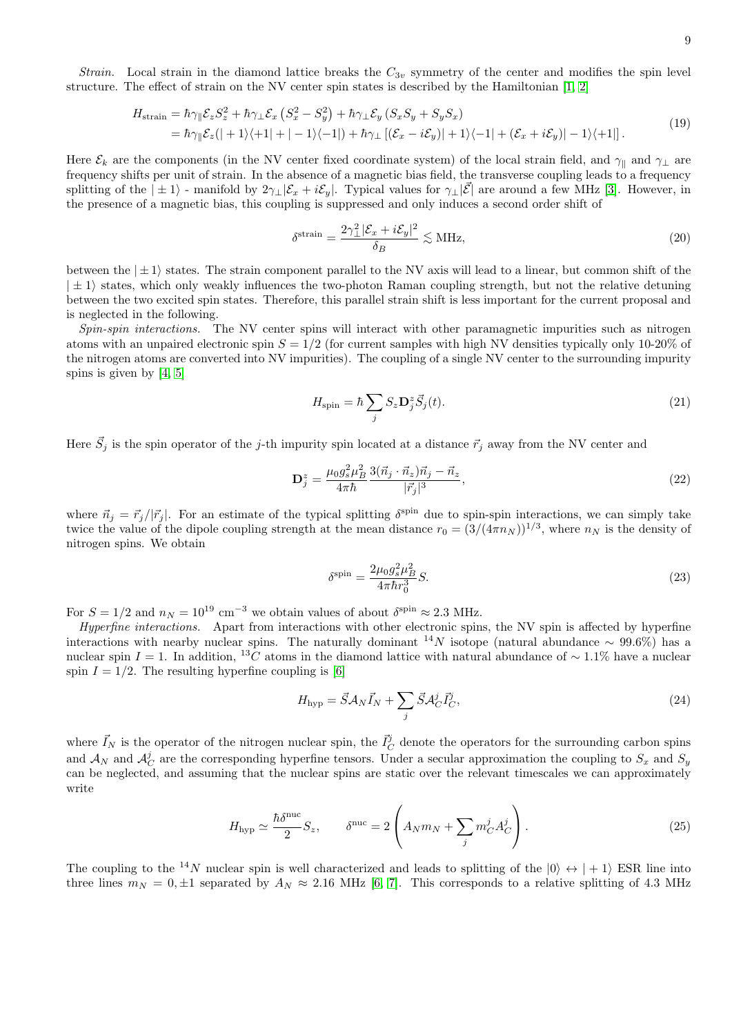$$
H_{\text{strain}} = \hbar \gamma_{\parallel} \mathcal{E}_z S_z^2 + \hbar \gamma_{\perp} \mathcal{E}_x (S_x^2 - S_y^2) + \hbar \gamma_{\perp} \mathcal{E}_y (S_x S_y + S_y S_x)
$$
  
=  $\hbar \gamma_{\parallel} \mathcal{E}_z (| + 1\rangle\langle +1| + |-1\rangle\langle -1|) + \hbar \gamma_{\perp} [(\mathcal{E}_x - i\mathcal{E}_y)| + 1\rangle\langle -1| + (\mathcal{E}_x + i\mathcal{E}_y)| - 1\rangle\langle +1|].$  (19)

Here  $\mathcal{E}_k$  are the components (in the NV center fixed coordinate system) of the local strain field, and  $\gamma_{\parallel}$  and  $\gamma_{\perp}$  are frequency shifts per unit of strain. In the absence of a magnetic bias field, the transverse coupling leads to a frequency splitting of the  $|\pm 1\rangle$  - manifold by  $2\gamma_{\perp}|\mathcal{E}_x + i\mathcal{E}_y|$ . Typical values for  $\gamma_{\perp}|\mathcal{E}|$  are around a few MHz [\[3\]](#page-22-2). However, in the presence of a magnetic bias, this coupling is suppressed and only induces a second order shift of

$$
\delta^{\text{strain}} = \frac{2\gamma_{\perp}^2 |\mathcal{E}_x + i\mathcal{E}_y|^2}{\delta_B} \lesssim \text{MHz},\tag{20}
$$

between the  $|\pm 1\rangle$  states. The strain component parallel to the NV axis will lead to a linear, but common shift of the  $|\pm 1\rangle$  states, which only weakly influences the two-photon Raman coupling strength, but not the relative detuning between the two excited spin states. Therefore, this parallel strain shift is less important for the current proposal and is neglected in the following.

Spin-spin interactions. The NV center spins will interact with other paramagnetic impurities such as nitrogen atoms with an unpaired electronic spin  $S = 1/2$  (for current samples with high NV densities typically only 10-20% of the nitrogen atoms are converted into NV impurities). The coupling of a single NV center to the surrounding impurity spins is given by  $[4, 5]$  $[4, 5]$ 

$$
H_{\rm spin} = \hbar \sum_{j} S_{z} \mathbf{D}_{j}^{z} \vec{S}_{j}(t). \tag{21}
$$

Here  $\vec{S}_j$  is the spin operator of the j-th impurity spin located at a distance  $\vec{r}_j$  away from the NV center and

$$
\mathbf{D}_{j}^{z} = \frac{\mu_{0}g_{s}^{2}\mu_{B}^{2}}{4\pi\hbar} \frac{3(\vec{n}_{j}\cdot\vec{n}_{z})\vec{n}_{j} - \vec{n}_{z}}{|\vec{r}_{j}|^{3}},
$$
\n(22)

where  $\vec{n}_j = \vec{r}_j/|\vec{r}_j|$ . For an estimate of the typical splitting  $\delta^{spin}$  due to spin-spin interactions, we can simply take twice the value of the dipole coupling strength at the mean distance  $r_0 = (3/(4\pi n_N))^{1/3}$ , where  $n_N$  is the density of nitrogen spins. We obtain

$$
\delta^{\text{spin}} = \frac{2\mu_0 g_s^2 \mu_B^2}{4\pi \hbar r_0^3} S.
$$
\n(23)

For  $S = 1/2$  and  $n_N = 10^{19}$  cm<sup>-3</sup> we obtain values of about  $\delta^{\text{spin}} \approx 2.3$  MHz.

Hyperfine interactions. Apart from interactions with other electronic spins, the NV spin is affected by hyperfine interactions with nearby nuclear spins. The naturally dominant <sup>14</sup>N isotope (natural abundance ~ 99.6%) has a nuclear spin I = 1. In addition, <sup>13</sup>C atoms in the diamond lattice with natural abundance of ~ 1.1% have a nuclear spin  $I = 1/2$ . The resulting hyperfine coupling is [\[6\]](#page-22-5)

$$
H_{\rm hyp} = \vec{S} \mathcal{A}_N \vec{I}_N + \sum_j \vec{S} \mathcal{A}_C^j \vec{I}_C^j,\tag{24}
$$

where  $\vec{I}_N$  is the operator of the nitrogen nuclear spin, the  $\vec{I}_C^j$  denote the operators for the surrounding carbon spins and  $\mathcal{A}_N$  and  $\mathcal{A}_C^j$  are the corresponding hyperfine tensors. Under a secular approximation the coupling to  $S_x$  and  $S_y$ can be neglected, and assuming that the nuclear spins are static over the relevant timescales we can approximately write

$$
H_{\rm hyp} \simeq \frac{\hbar \delta^{\rm nuc}}{2} S_z, \qquad \delta^{\rm nuc} = 2 \left( A_N m_N + \sum_j m_C^j A_C^j \right). \tag{25}
$$

The coupling to the <sup>14</sup>N nuclear spin is well characterized and leads to splitting of the  $|0\rangle \leftrightarrow |+1\rangle$  ESR line into three lines  $m_N = 0, \pm 1$  separated by  $A_N \approx 2.16$  MHz [\[6,](#page-22-5) [7\]](#page-22-6). This corresponds to a relative splitting of 4.3 MHz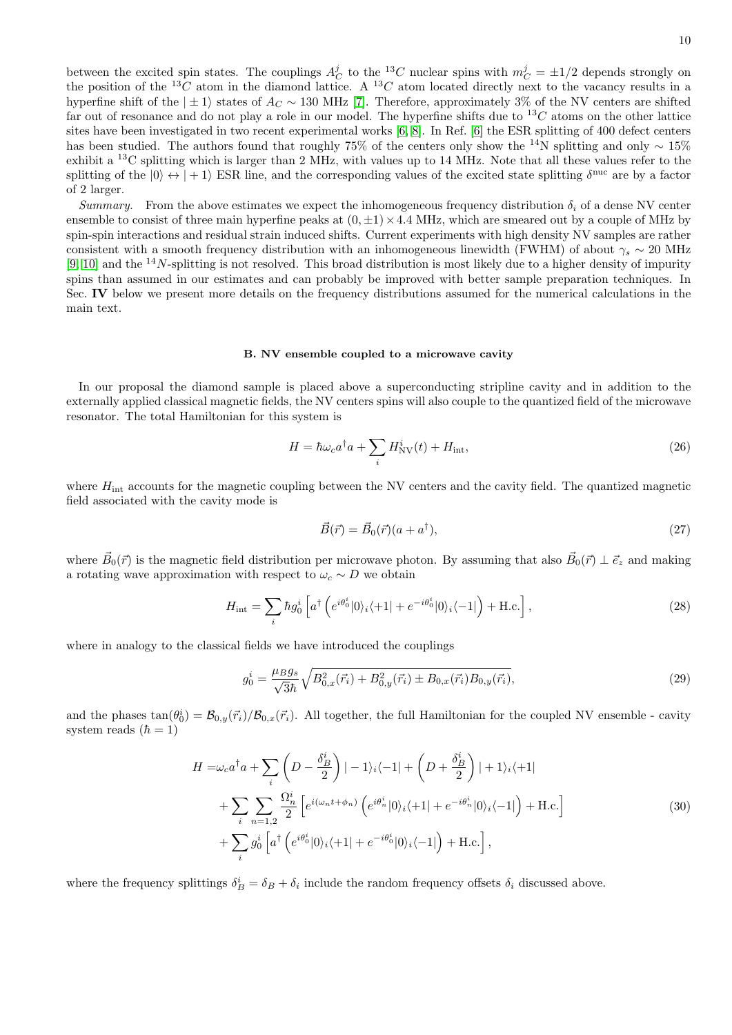10

the position of the <sup>13</sup>C atom in the diamond lattice. A <sup>13</sup>C atom located directly next to the vacancy results in a hyperfine shift of the  $|\pm 1\rangle$  states of  $A_C \sim 130$  MHz [\[7\]](#page-22-6). Therefore, approximately 3% of the NV centers are shifted far out of resonance and do not play a role in our model. The hyperfine shifts due to  ${}^{13}C$  atoms on the other lattice sites have been investigated in two recent experimental works [\[6,](#page-22-5) [8\]](#page-22-7). In Ref. [\[6\]](#page-22-5) the ESR splitting of 400 defect centers has been studied. The authors found that roughly 75% of the centers only show the <sup>14</sup>N splitting and only ∼ 15% exhibit a <sup>13</sup>C splitting which is larger than 2 MHz, with values up to 14 MHz. Note that all these values refer to the splitting of the  $|0\rangle \leftrightarrow |+1\rangle$  ESR line, and the corresponding values of the excited state splitting  $\delta^{\text{nuc}}$  are by a factor of 2 larger.

Summary. From the above estimates we expect the inhomogeneous frequency distribution  $\delta_i$  of a dense NV center ensemble to consist of three main hyperfine peaks at  $(0, \pm 1) \times 4.4$  MHz, which are smeared out by a couple of MHz by spin-spin interactions and residual strain induced shifts. Current experiments with high density NV samples are rather consistent with a smooth frequency distribution with an inhomogeneous linewidth (FWHM) of about  $\gamma_s \sim 20$  MHz [\[9,](#page-22-8) [10\]](#page-22-9) and the  $14N$ -splitting is not resolved. This broad distribution is most likely due to a higher density of impurity spins than assumed in our estimates and can probably be improved with better sample preparation techniques. In Sec. IV below we present more details on the frequency distributions assumed for the numerical calculations in the main text.

### B. NV ensemble coupled to a microwave cavity

In our proposal the diamond sample is placed above a superconducting stripline cavity and in addition to the externally applied classical magnetic fields, the NV centers spins will also couple to the quantized field of the microwave resonator. The total Hamiltonian for this system is

$$
H = \hbar\omega_c a^\dagger a + \sum_i H^i_{\text{NV}}(t) + H_{\text{int}},\tag{26}
$$

where  $H_{\text{int}}$  accounts for the magnetic coupling between the NV centers and the cavity field. The quantized magnetic field associated with the cavity mode is

$$
\vec{B}(\vec{r}) = \vec{B}_0(\vec{r})(a + a^\dagger),\tag{27}
$$

where  $\vec{B}_0(\vec{r})$  is the magnetic field distribution per microwave photon. By assuming that also  $\vec{B}_0(\vec{r}) \perp \vec{e}_z$  and making a rotating wave approximation with respect to  $\omega_c \sim D$  we obtain

$$
H_{\rm int} = \sum_{i} \hbar g_0^i \left[ a^\dagger \left( e^{i\theta_0^i} |0\rangle_i \langle +1| + e^{-i\theta_0^i} |0\rangle_i \langle -1| \right) + \text{H.c.} \right],\tag{28}
$$

where in analogy to the classical fields we have introduced the couplings

$$
g_0^i = \frac{\mu_B g_s}{\sqrt{3\hbar}} \sqrt{B_{0,x}^2(\vec{r}_i) + B_{0,y}^2(\vec{r}_i) \pm B_{0,x}(\vec{r}_i)B_{0,y}(\vec{r}_i)},\tag{29}
$$

and the phases  $\tan(\theta_0^i) = \mathcal{B}_{0,y}(\vec{r}_i)/\mathcal{B}_{0,x}(\vec{r}_i)$ . All together, the full Hamiltonian for the coupled NV ensemble - cavity system reads  $(\hbar = 1)$ 

$$
H = \omega_c a^\dagger a + \sum_i \left( D - \frac{\delta_B^i}{2} \right) | - 1\rangle_i \langle -1 | + \left( D + \frac{\delta_B^i}{2} \right) | + 1\rangle_i \langle +1 |
$$
  
+ 
$$
\sum_i \sum_{n=1,2} \frac{\Omega_n^i}{2} \left[ e^{i(\omega_n t + \phi_n)} \left( e^{i\theta_n^i} |0\rangle_i \langle +1 | + e^{-i\theta_n^i} |0\rangle_i \langle -1 | \right) + \text{H.c.} \right]
$$
  
+ 
$$
\sum_i g_0^i \left[ a^\dagger \left( e^{i\theta_0^i} |0\rangle_i \langle +1 | + e^{-i\theta_0^i} |0\rangle_i \langle -1 | \right) + \text{H.c.} \right],
$$
  
(30)

<span id="page-9-0"></span>where the frequency splittings  $\delta_B^i = \delta_B + \delta_i$  include the random frequency offsets  $\delta_i$  discussed above.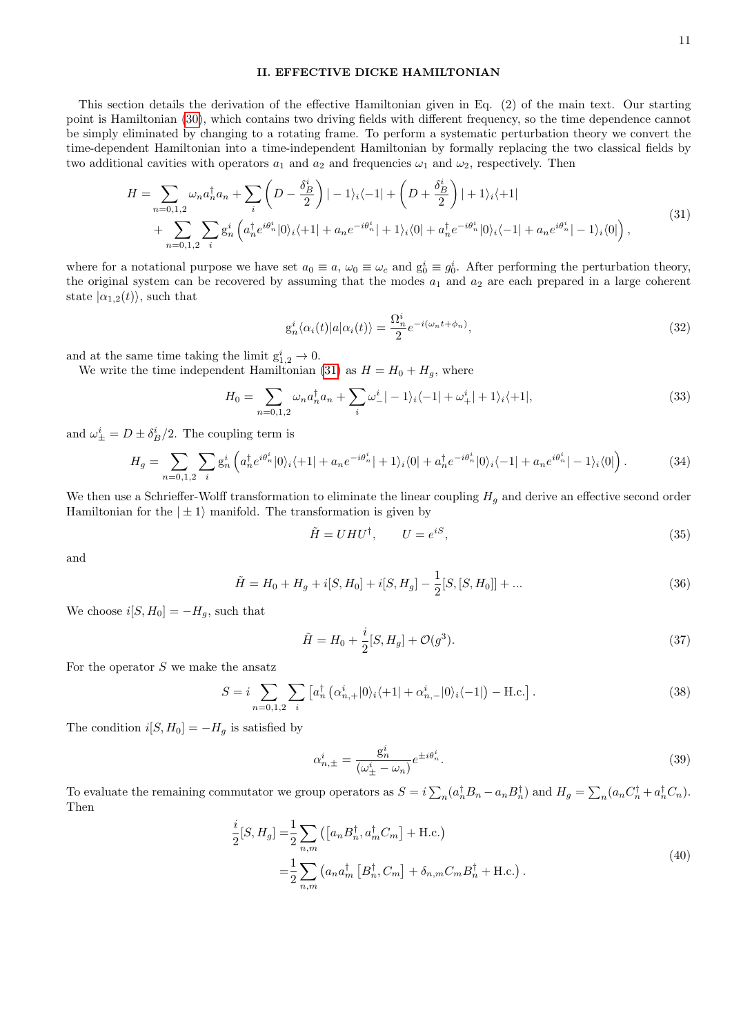# II. EFFECTIVE DICKE HAMILTONIAN

This section details the derivation of the effective Hamiltonian given in Eq. (2) of the main text. Our starting point is Hamiltonian [\(30\)](#page-9-0), which contains two driving fields with different frequency, so the time dependence cannot be simply eliminated by changing to a rotating frame. To perform a systematic perturbation theory we convert the time-dependent Hamiltonian into a time-independent Hamiltonian by formally replacing the two classical fields by two additional cavities with operators  $a_1$  and  $a_2$  and frequencies  $\omega_1$  and  $\omega_2$ , respectively. Then

$$
H = \sum_{n=0,1,2} \omega_n a_n^{\dagger} a_n + \sum_i \left( D - \frac{\delta_B^i}{2} \right) | - 1 \rangle_i \langle -1 | + \left( D + \frac{\delta_B^i}{2} \right) | + 1 \rangle_i \langle +1 |
$$
  
+ 
$$
\sum_{n=0,1,2} \sum_i g_n^i \left( a_n^{\dagger} e^{i\theta_n^i} |0 \rangle_i \langle +1 | + a_n e^{-i\theta_n^i} | + 1 \rangle_i \langle 0 | + a_n^{\dagger} e^{-i\theta_n^i} |0 \rangle_i \langle -1 | + a_n e^{i\theta_n^i} | - 1 \rangle_i \langle 0 | \right), \tag{31}
$$

<span id="page-10-0"></span>where for a notational purpose we have set  $a_0 \equiv a$ ,  $\omega_0 \equiv \omega_c$  and  $g_0^i \equiv g_0^i$ . After performing the perturbation theory, the original system can be recovered by assuming that the modes  $a_1$  and  $a_2$  are each prepared in a large coherent state  $|\alpha_{1,2}(t)\rangle$ , such that

$$
g_n^i \langle \alpha_i(t) | a | \alpha_i(t) \rangle = \frac{\Omega_n^i}{2} e^{-i(\omega_n t + \phi_n)}, \tag{32}
$$

and at the same time taking the limit  $g_{1,2}^i \rightarrow 0$ .

We write the time independent Hamiltonian [\(31\)](#page-10-0) as  $H = H_0 + H_g$ , where

$$
H_0 = \sum_{n=0,1,2} \omega_n a_n^{\dagger} a_n + \sum_i \omega_-^i \vert -1 \rangle_i \langle -1 \vert + \omega_+^i \vert +1 \rangle_i \langle +1 \vert, \tag{33}
$$

and  $\omega_{\pm}^i = D \pm \delta_B^i/2$ . The coupling term is

$$
H_g = \sum_{n=0,1,2} \sum_i g_n^i \left( a_n^\dagger e^{i\theta_n^i} |0\rangle_i \langle +1| + a_n e^{-i\theta_n^i} |+1\rangle_i \langle 0| + a_n^\dagger e^{-i\theta_n^i} |0\rangle_i \langle -1| + a_n e^{i\theta_n^i} |-1\rangle_i \langle 0| \right). \tag{34}
$$

We then use a Schrieffer-Wolff transformation to eliminate the linear coupling  $H<sub>g</sub>$  and derive an effective second order Hamiltonian for the  $|\pm 1\rangle$  manifold. The transformation is given by

$$
\tilde{H} = UHU^{\dagger}, \qquad U = e^{iS}, \tag{35}
$$

and

$$
\tilde{H} = H_0 + H_g + i[S, H_0] + i[S, H_g] - \frac{1}{2}[S, [S, H_0]] + \dots
$$
\n(36)

We choose  $i[S, H_0] = -H_g$ , such that

$$
\tilde{H} = H_0 + \frac{i}{2} [S, H_g] + \mathcal{O}(g^3).
$$
\n(37)

For the operator  $S$  we make the ansatz

$$
S = i \sum_{n=0,1,2} \sum_{i} \left[ a_n^{\dagger} \left( \alpha_{n,+}^{i} |0\rangle_i \langle +1| + \alpha_{n,-}^{i} |0\rangle_i \langle -1| \right) - \text{H.c.} \right]. \tag{38}
$$

The condition  $i[S, H_0] = -H_g$  is satisfied by

$$
\alpha_{n,\pm}^i = \frac{\mathbf{g}_n^i}{\left(\omega_{\pm}^i - \omega_n\right)} e^{\pm i\theta_n^i}.\tag{39}
$$

To evaluate the remaining commutator we group operators as  $S = i \sum_n (a_n^{\dagger} B_n - a_n B_n^{\dagger})$  and  $H_g = \sum_n (a_n C_n^{\dagger} + a_n^{\dagger} C_n)$ . Then

$$
\frac{i}{2}[S, H_g] = \frac{1}{2} \sum_{n,m} \left( \left[ a_n B_n^{\dagger}, a_m^{\dagger} C_m \right] + \text{H.c.} \right)
$$
\n
$$
= \frac{1}{2} \sum_{n,m} \left( a_n a_m^{\dagger} \left[ B_n^{\dagger}, C_m \right] + \delta_{n,m} C_m B_n^{\dagger} + \text{H.c.} \right). \tag{40}
$$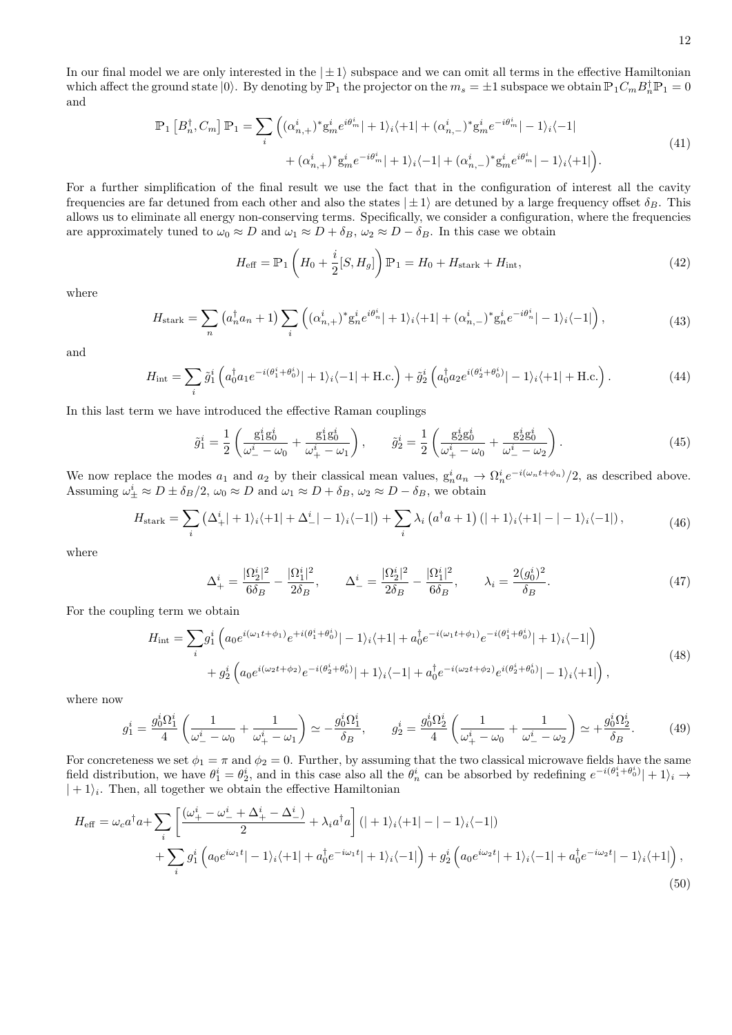In our final model we are only interested in the  $|\pm 1\rangle$  subspace and we can omit all terms in the effective Hamiltonian which affect the ground state  $|0\rangle$ . By denoting by  $\mathbb{P}_1$  the projector on the  $m_s = \pm 1$  subspace we obtain  $\mathbb{P}_1 C_m B_n^{\dagger} \mathbb{P}_1 = 0$ and

$$
\mathbb{P}_{1}\left[B_{n}^{\dagger},C_{m}\right]\mathbb{P}_{1} = \sum_{i}\left( (\alpha_{n,+}^{i})^{*}\mathbf{g}_{m}^{i}e^{i\theta_{m}^{i}}| + 1 \rangle_{i}\langle +1| + (\alpha_{n,-}^{i})^{*}\mathbf{g}_{m}^{i}e^{-i\theta_{m}^{i}}| - 1 \rangle_{i}\langle -1| + (\alpha_{n,+}^{i})^{*}\mathbf{g}_{m}^{i}e^{-i\theta_{m}^{i}}| + 1 \rangle_{i}\langle -1| + (\alpha_{n,-}^{i})^{*}\mathbf{g}_{m}^{i}e^{i\theta_{m}^{i}}| - 1 \rangle_{i}\langle +1| \right).
$$
\n
$$
(41)
$$

For a further simplification of the final result we use the fact that in the configuration of interest all the cavity frequencies are far detuned from each other and also the states  $|\pm 1\rangle$  are detuned by a large frequency offset  $\delta_B$ . This allows us to eliminate all energy non-conserving terms. Specifically, we consider a configuration, where the frequencies are approximately tuned to  $\omega_0 \approx D$  and  $\omega_1 \approx D + \delta_B$ ,  $\omega_2 \approx D - \delta_B$ . In this case we obtain

$$
H_{\text{eff}} = \mathbb{P}_1 \left( H_0 + \frac{i}{2} [S, H_g] \right) \mathbb{P}_1 = H_0 + H_{\text{stark}} + H_{\text{int}}, \tag{42}
$$

where

$$
H_{\text{stark}} = \sum_{n} \left( a_n^{\dagger} a_n + 1 \right) \sum_{i} \left( (\alpha_{n,+}^{i})^* g_n^i e^{i \theta_n^i} \right) + 1 \rangle_i \langle +1 | + (\alpha_{n,-}^{i})^* g_n^i e^{-i \theta_n^i} \right) - 1 \rangle_i \langle -1 | \right), \tag{43}
$$

and

$$
H_{\rm int} = \sum_{i} \tilde{g}_1^i \left( a_0^{\dagger} a_1 e^{-i(\theta_1^i + \theta_0^i)} | + 1 \rangle_i \langle -1 | + \text{H.c.} \right) + \tilde{g}_2^i \left( a_0^{\dagger} a_2 e^{i(\theta_2^i + \theta_0^i)} | - 1 \rangle_i \langle +1 | + \text{H.c.} \right). \tag{44}
$$

In this last term we have introduced the effective Raman couplings

$$
\tilde{g}_1^i = \frac{1}{2} \left( \frac{g_1^i g_0^i}{\omega_-^i - \omega_0} + \frac{g_1^i g_0^i}{\omega_+^i - \omega_1} \right), \qquad \tilde{g}_2^i = \frac{1}{2} \left( \frac{g_2^i g_0^i}{\omega_+^i - \omega_0} + \frac{g_2^i g_0^i}{\omega_-^i - \omega_2} \right).
$$
\n(45)

We now replace the modes  $a_1$  and  $a_2$  by their classical mean values,  $g_n^i a_n \to \Omega_n^i e^{-i(\omega_n t + \phi_n)}/2$ , as described above. Assuming  $\omega_{\pm}^i \approx D \pm \delta_B/2$ ,  $\omega_0 \approx D$  and  $\omega_1 \approx D + \delta_B$ ,  $\omega_2 \approx D - \delta_B$ , we obtain

$$
H_{\text{stark}} = \sum_{i} \left( \Delta_{+}^{i} |+1\rangle_{i} \langle +1| + \Delta_{-}^{i} |-1\rangle_{i} \langle -1| \right) + \sum_{i} \lambda_{i} \left( a^{\dagger} a + 1 \right) (|+1\rangle_{i} \langle +1| - |-1\rangle_{i} \langle -1|), \tag{46}
$$

where

$$
\Delta_{+}^{i} = \frac{|\Omega_{2}^{i}|^{2}}{6\delta_{B}} - \frac{|\Omega_{1}^{i}|^{2}}{2\delta_{B}}, \qquad \Delta_{-}^{i} = \frac{|\Omega_{2}^{i}|^{2}}{2\delta_{B}} - \frac{|\Omega_{1}^{i}|^{2}}{6\delta_{B}}, \qquad \lambda_{i} = \frac{2(g_{0}^{i})^{2}}{\delta_{B}}.
$$
\n(47)

For the coupling term we obtain

$$
H_{\rm int} = \sum_{i} g_1^i \left( a_0 e^{i(\omega_1 t + \phi_1)} e^{+i(\theta_1^i + \theta_0^i)} | - 1 \rangle_i \langle + 1| + a_0^{\dagger} e^{-i(\omega_1 t + \phi_1)} e^{-i(\theta_1^i + \theta_0^i)} | + 1 \rangle_i \langle -1| \right) + g_2^i \left( a_0 e^{i(\omega_2 t + \phi_2)} e^{-i(\theta_2^i + \theta_0^i)} | + 1 \rangle_i \langle -1| + a_0^{\dagger} e^{-i(\omega_2 t + \phi_2)} e^{i(\theta_2^i + \theta_0^i)} | - 1 \rangle_i \langle + 1| \right),
$$
\n
$$
(48)
$$

where now

$$
g_1^i = \frac{g_0^i \Omega_1^i}{4} \left( \frac{1}{\omega_-^i - \omega_0} + \frac{1}{\omega_+^i - \omega_1} \right) \simeq -\frac{g_0^i \Omega_1^i}{\delta_B}, \qquad g_2^i = \frac{g_0^i \Omega_2^i}{4} \left( \frac{1}{\omega_+^i - \omega_0} + \frac{1}{\omega_-^i - \omega_2} \right) \simeq +\frac{g_0^i \Omega_2^i}{\delta_B}.
$$
 (49)

For concreteness we set  $\phi_1 = \pi$  and  $\phi_2 = 0$ . Further, by assuming that the two classical microwave fields have the same field distribution, we have  $\theta_1^i = \theta_2^i$ , and in this case also all the  $\theta_n^i$  can be absorbed by redefining  $e^{-i(\theta_1^i + \theta_0^i)}$  + 1)<sub>i</sub> →  $| + 1\rangle_i$ . Then, all together we obtain the effective Hamiltonian

$$
H_{\text{eff}} = \omega_c a^{\dagger} a + \sum_{i} \left[ \frac{(\omega_+^i - \omega_-^i + \Delta_+^i - \Delta_-^i)}{2} + \lambda_i a^{\dagger} a \right] (| + 1\rangle_i \langle +1| - | -1\rangle_i \langle -1|) + \sum_{i} g_1^i \left( a_0 e^{i\omega_1 t} | -1\rangle_i \langle +1| + a_0^{\dagger} e^{-i\omega_1 t} | +1\rangle_i \langle -1| \right) + g_2^i \left( a_0 e^{i\omega_2 t} | +1\rangle_i \langle -1| + a_0^{\dagger} e^{-i\omega_2 t} | -1\rangle_i \langle +1| \right),
$$
\n(50)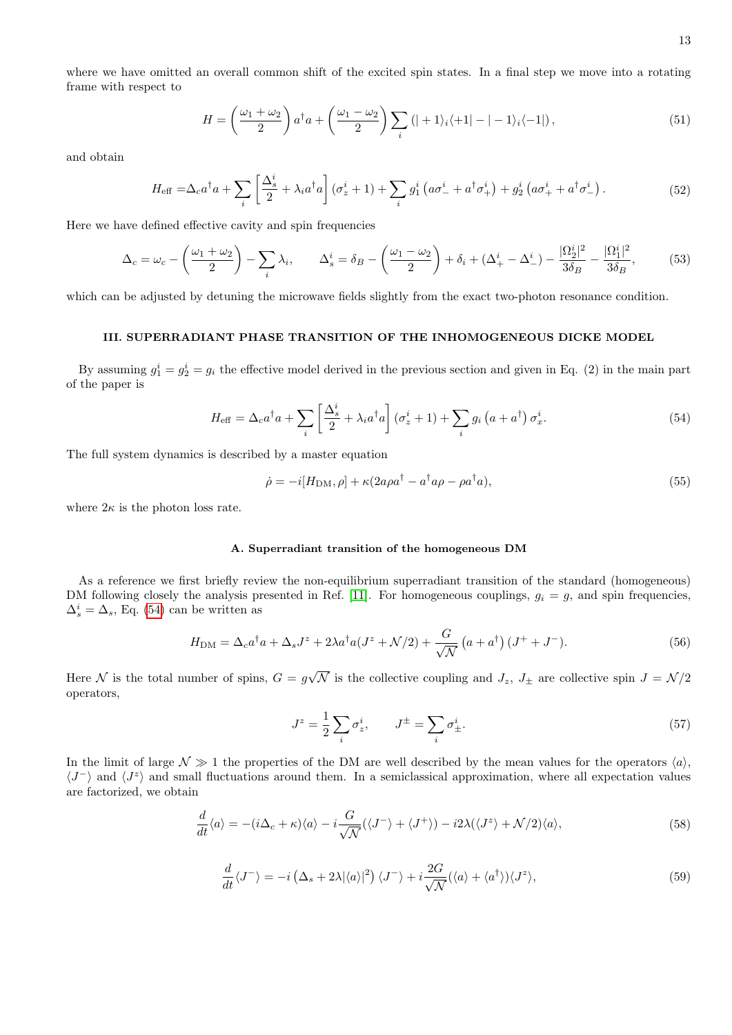$$
H = \left(\frac{\omega_1 + \omega_2}{2}\right) a^\dagger a + \left(\frac{\omega_1 - \omega_2}{2}\right) \sum_i \left(|+1\rangle_i \langle +1| - |-1\rangle_i \langle -1|\right),\tag{51}
$$

and obtain

$$
H_{\text{eff}} = \Delta_c a^\dagger a + \sum_i \left[ \frac{\Delta_s^i}{2} + \lambda_i a^\dagger a \right] (\sigma_z^i + 1) + \sum_i g_1^i \left( a \sigma_-^i + a^\dagger \sigma_+^i \right) + g_2^i \left( a \sigma_+^i + a^\dagger \sigma_-^i \right). \tag{52}
$$

Here we have defined effective cavity and spin frequencies

<span id="page-12-1"></span>
$$
\Delta_c = \omega_c - \left(\frac{\omega_1 + \omega_2}{2}\right) - \sum_i \lambda_i, \qquad \Delta_s^i = \delta_B - \left(\frac{\omega_1 - \omega_2}{2}\right) + \delta_i + \left(\Delta_+^i - \Delta_-^i\right) - \frac{|\Omega_2^i|^2}{3\delta_B} - \frac{|\Omega_1^i|^2}{3\delta_B},\tag{53}
$$

which can be adjusted by detuning the microwave fields slightly from the exact two-photon resonance condition.

### III. SUPERRADIANT PHASE TRANSITION OF THE INHOMOGENEOUS DICKE MODEL

By assuming  $g_1^i = g_2^i = g_i$  the effective model derived in the previous section and given in Eq. (2) in the main part of the paper is

<span id="page-12-0"></span>
$$
H_{\text{eff}} = \Delta_c a^\dagger a + \sum_i \left[ \frac{\Delta_s^i}{2} + \lambda_i a^\dagger a \right] (\sigma_z^i + 1) + \sum_i g_i \left( a + a^\dagger \right) \sigma_x^i.
$$
 (54)

The full system dynamics is described by a master equation

$$
\dot{\rho} = -i[H_{\rm DM}, \rho] + \kappa (2a\rho a^{\dagger} - a^{\dagger} a\rho - \rho a^{\dagger} a),\tag{55}
$$

where  $2\kappa$  is the photon loss rate.

# A. Superradiant transition of the homogeneous DM

As a reference we first briefly review the non-equilibrium superradiant transition of the standard (homogeneous) DM following closely the analysis presented in Ref. [\[11\]](#page-22-10). For homogeneous couplings,  $g_i = g$ , and spin frequencies,  $\Delta_s^i = \Delta_s$ , Eq. [\(54\)](#page-12-0) can be written as

$$
H_{\rm DM} = \Delta_c a^{\dagger} a + \Delta_s J^z + 2\lambda a^{\dagger} a (J^z + \mathcal{N}/2) + \frac{G}{\sqrt{\mathcal{N}}} \left( a + a^{\dagger} \right) (J^+ + J^-). \tag{56}
$$

Here N is the total number of spins,  $G = g$ √ N is the collective coupling and  $J_z$ ,  $J_{\pm}$  are collective spin  $J = \mathcal{N}/2$ operators,

$$
J^z = \frac{1}{2} \sum_i \sigma_z^i, \qquad J^\pm = \sum_i \sigma_\pm^i.
$$
 (57)

In the limit of large  $\mathcal{N} \gg 1$  the properties of the DM are well described by the mean values for the operators  $\langle a \rangle$ ,  $\langle J^{-} \rangle$  and  $\langle J^{z} \rangle$  and small fluctuations around them. In a semiclassical approximation, where all expectation values are factorized, we obtain

$$
\frac{d}{dt}\langle a\rangle = -(i\Delta_c + \kappa)\langle a\rangle - i\frac{G}{\sqrt{\mathcal{N}}}(\langle J^{-}\rangle + \langle J^{+}\rangle) - i2\lambda(\langle J^{z}\rangle + \mathcal{N}/2)\langle a\rangle,\tag{58}
$$

$$
\frac{d}{dt}\langle J^{-}\rangle = -i\left(\Delta_s + 2\lambda|\langle a\rangle|^2\right)\langle J^{-}\rangle + i\frac{2G}{\sqrt{\mathcal{N}}}(\langle a\rangle + \langle a^{\dagger}\rangle)\langle J^{z}\rangle,\tag{59}
$$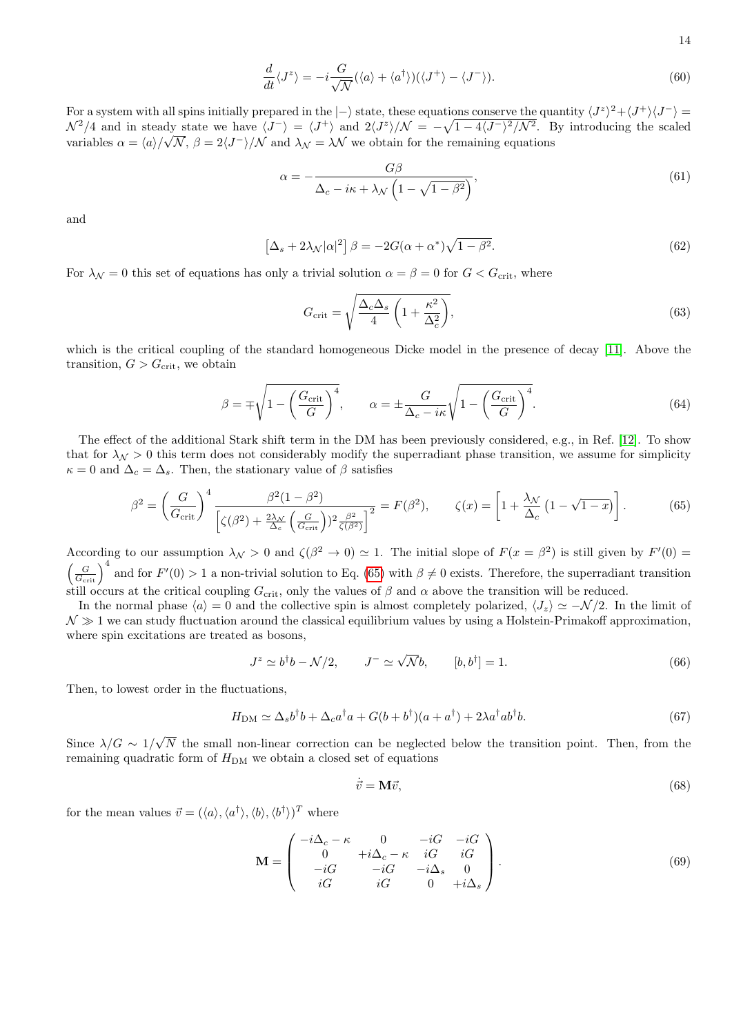$$
\frac{d}{dt}\langle J^z \rangle = -i\frac{G}{\sqrt{\mathcal{N}}}(\langle a \rangle + \langle a^\dagger \rangle)(\langle J^+ \rangle - \langle J^- \rangle). \tag{60}
$$

For a system with all spins initially prepared in the  $\ket{-}$  state, these equations conserve the quantity  $\langle J^z \rangle^2 + \langle J^+ \rangle \langle J^- \rangle =$  $\mathcal{N}^2/4$  and in steady state we have  $\langle J^-\rangle = \langle J^+\rangle$  and  $2\langle J^z\rangle/\mathcal{N} = -\sqrt{1-4\langle J^-\rangle^2/\mathcal{N}^2}$ . By introducing the scaled variables  $\alpha = \langle a \rangle / \sqrt{\mathcal{N}}, \beta = 2\langle J^{-} \rangle / \mathcal{N}$  and  $\lambda_{\mathcal{N}} = \lambda \mathcal{N}$  we obtain for the remaining equations

$$
\alpha = -\frac{G\beta}{\Delta_c - i\kappa + \lambda_\mathcal{N} \left(1 - \sqrt{1 - \beta^2}\right)},\tag{61}
$$

and

$$
\[\Delta_s + 2\lambda \sqrt{|\alpha|^2}\] \beta = -2G(\alpha + \alpha^*)\sqrt{1 - \beta^2}.\tag{62}
$$

For  $\lambda_{\mathcal{N}} = 0$  this set of equations has only a trivial solution  $\alpha = \beta = 0$  for  $G < G_{\text{crit}}$ , where

<span id="page-13-1"></span>
$$
G_{\rm crit} = \sqrt{\frac{\Delta_c \Delta_s}{4} \left(1 + \frac{\kappa^2}{\Delta_c^2}\right)},\tag{63}
$$

which is the critical coupling of the standard homogeneous Dicke model in the presence of decay [\[11\]](#page-22-10). Above the transition,  $G > G_{\text{crit}}$ , we obtain

$$
\beta = \pm \sqrt{1 - \left(\frac{G_{\text{crit}}}{G}\right)^4}, \qquad \alpha = \pm \frac{G}{\Delta_c - i\kappa} \sqrt{1 - \left(\frac{G_{\text{crit}}}{G}\right)^4}.
$$
\n(64)

The effect of the additional Stark shift term in the DM has been previously considered, e.g., in Ref. [\[12\]](#page-22-11). To show that for  $\lambda_N > 0$  this term does not considerably modify the superradiant phase transition, we assume for simplicity  $\kappa = 0$  and  $\Delta_c = \Delta_s$ . Then, the stationary value of  $\beta$  satisfies

<span id="page-13-0"></span>
$$
\beta^2 = \left(\frac{G}{G_{\text{crit}}}\right)^4 \frac{\beta^2 (1 - \beta^2)}{\left[\zeta(\beta^2) + \frac{2\lambda_N}{\Delta_c} \left(\frac{G}{G_{\text{crit}}}\right))^2 \frac{\beta^2}{\zeta(\beta^2)}\right]^2} = F(\beta^2), \qquad \zeta(x) = \left[1 + \frac{\lambda_N}{\Delta_c} \left(1 - \sqrt{1 - x}\right)\right].\tag{65}
$$

According to our assumption  $\lambda_N > 0$  and  $\zeta(\beta^2 \to 0) \simeq 1$ . The initial slope of  $F(x = \beta^2)$  is still given by  $F'(0) =$  $\left(\frac{G}{G_{\text{crit}}}\right)^4$  and for  $F'(0) > 1$  a non-trivial solution to Eq. [\(65\)](#page-13-0) with  $\beta \neq 0$  exists. Therefore, the superradiant transition still occurs at the critical coupling  $G_{\rm crit}$ , only the values of  $\beta$  and  $\alpha$  above the transition will be reduced.

In the normal phase  $\langle a \rangle = 0$  and the collective spin is almost completely polarized,  $\langle J_z \rangle \simeq -N/2$ . In the limit of  $\mathcal{N} \gg 1$  we can study fluctuation around the classical equilibrium values by using a Holstein-Primakoff approximation, where spin excitations are treated as bosons,

$$
J^z \simeq b^{\dagger}b - \mathcal{N}/2, \qquad J^- \simeq \sqrt{\mathcal{N}}b, \qquad [b, b^{\dagger}] = 1. \tag{66}
$$

Then, to lowest order in the fluctuations,

$$
H_{\rm DM} \simeq \Delta_s b^{\dagger} b + \Delta_c a^{\dagger} a + G(b + b^{\dagger}) (a + a^{\dagger}) + 2\lambda a^{\dagger} a b^{\dagger} b. \tag{67}
$$

Since  $\lambda/G \sim 1/$ √ N the small non-linear correction can be neglected below the transition point. Then, from the remaining quadratic form of  $H_{\text{DM}}$  we obtain a closed set of equations

$$
\dot{\vec{v}} = \mathbf{M}\vec{v},\tag{68}
$$

for the mean values  $\vec{v} = (\langle a \rangle, \langle a^{\dagger} \rangle, \langle b \rangle, \langle b^{\dagger} \rangle)^T$  where

$$
\mathbf{M} = \begin{pmatrix} -i\Delta_c - \kappa & 0 & -iG & -iG \\ 0 & +i\Delta_c - \kappa & iG & iG \\ -iG & -iG & -i\Delta_s & 0 \\ iG & iG & 0 & +i\Delta_s \end{pmatrix}.
$$
 (69)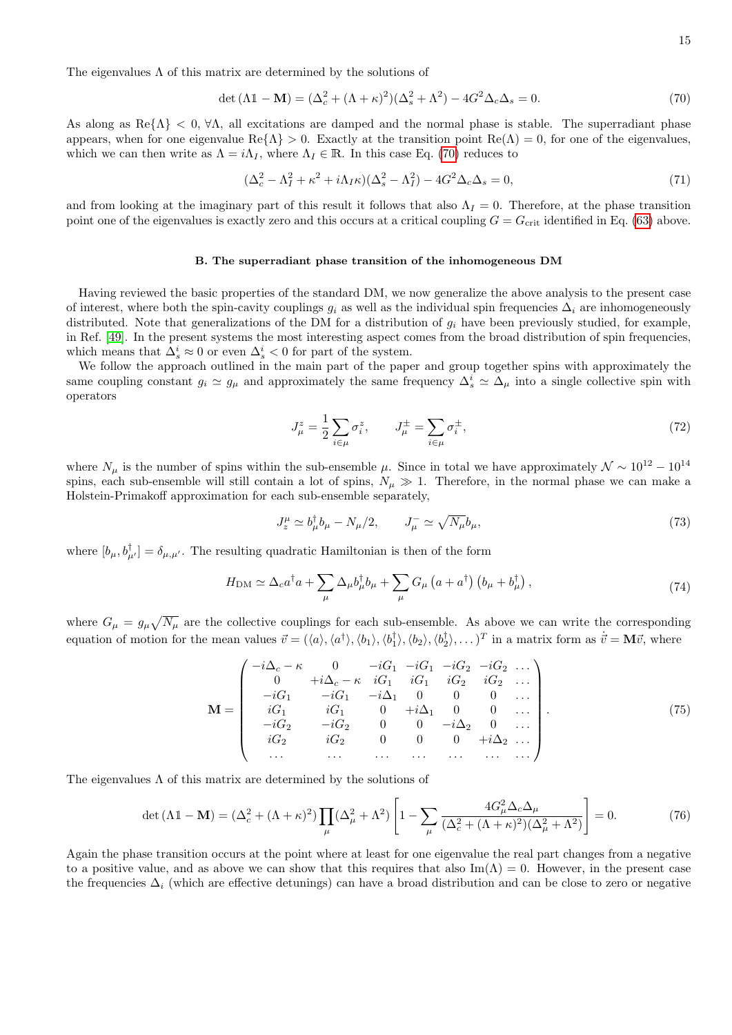The eigenvalues  $\Lambda$  of this matrix are determined by the solutions of

<span id="page-14-0"></span>
$$
\det(\Lambda \mathbb{1} - \mathbf{M}) = (\Delta_c^2 + (\Lambda + \kappa)^2)(\Delta_s^2 + \Lambda^2) - 4G^2 \Delta_c \Delta_s = 0.
$$
\n(70)

As along as  $\text{Re} \{\Lambda\} < 0$ ,  $\forall \Lambda$ , all excitations are damped and the normal phase is stable. The superradiant phase appears, when for one eigenvalue  $\text{Re}\{\Lambda\} > 0$ . Exactly at the transition point  $\text{Re}(\Lambda) = 0$ , for one of the eigenvalues, which we can then write as  $\Lambda = i\Lambda_I$ , where  $\Lambda_I \in \mathbb{R}$ . In this case Eq. [\(70\)](#page-14-0) reduces to

$$
(\Delta_c^2 - \Lambda_I^2 + \kappa^2 + i\Lambda_I \kappa)(\Delta_s^2 - \Lambda_I^2) - 4G^2 \Delta_c \Delta_s = 0,
$$
\n(71)

and from looking at the imaginary part of this result it follows that also  $\Lambda_I = 0$ . Therefore, at the phase transition point one of the eigenvalues is exactly zero and this occurs at a critical coupling  $G = G_{\text{crit}}$  identified in Eq. [\(63\)](#page-13-1) above.

### B. The superradiant phase transition of the inhomogeneous DM

Having reviewed the basic properties of the standard DM, we now generalize the above analysis to the present case of interest, where both the spin-cavity couplings  $g_i$  as well as the individual spin frequencies  $\Delta_i$  are inhomogeneously distributed. Note that generalizations of the DM for a distribution of  $g_i$  have been previously studied, for example, in Ref. [\[49\]](#page-4-30). In the present systems the most interesting aspect comes from the broad distribution of spin frequencies, which means that  $\Delta_s^i \approx 0$  or even  $\Delta_s^i < 0$  for part of the system.

We follow the approach outlined in the main part of the paper and group together spins with approximately the same coupling constant  $g_i \simeq g_\mu$  and approximately the same frequency  $\Delta_s^i \simeq \Delta_\mu$  into a single collective spin with operators

$$
J_{\mu}^{z} = \frac{1}{2} \sum_{i \in \mu} \sigma_i^{z}, \qquad J_{\mu}^{\pm} = \sum_{i \in \mu} \sigma_i^{\pm}, \tag{72}
$$

where  $N_\mu$  is the number of spins within the sub-ensemble  $\mu$ . Since in total we have approximately  $\mathcal{N} \sim 10^{12} - 10^{14}$ spins, each sub-ensemble will still contain a lot of spins,  $N_{\mu} \gg 1$ . Therefore, in the normal phase we can make a Holstein-Primakoff approximation for each sub-ensemble separately,

$$
J_z^{\mu} \simeq b_{\mu}^{\dagger} b_{\mu} - N_{\mu}/2, \qquad J_{\mu}^{-} \simeq \sqrt{N_{\mu}} b_{\mu}, \tag{73}
$$

where  $[b_\mu, b_{\mu'}^\dagger] = \delta_{\mu,\mu'}$ . The resulting quadratic Hamiltonian is then of the form

$$
H_{\rm DM} \simeq \Delta_c a^\dagger a + \sum_{\mu} \Delta_{\mu} b^\dagger_{\mu} b_{\mu} + \sum_{\mu} G_{\mu} \left( a + a^\dagger \right) \left( b_{\mu} + b_{\mu}^\dagger \right), \tag{74}
$$

where  $G_{\mu} = g_{\mu} \sqrt{N_{\mu}}$  are the collective couplings for each sub-ensemble. As above we can write the corresponding equation of motion for the mean values  $\vec{v} = (\langle a \rangle, \langle a^{\dagger} \rangle, \langle b_1 \rangle, \langle b_1^{\dagger} \rangle, \langle b_2 \rangle, \langle b_2^{\dagger} \rangle, \ldots)^T$  in a matrix form as  $\dot{\vec{v}} = \mathbf{M}\vec{v}$ , where

$$
\mathbf{M} = \begin{pmatrix}\n-i\Delta_c - \kappa & 0 & -iG_1 & -iG_1 & -iG_2 & -iG_2 & \dots \\
0 & +i\Delta_c - \kappa & iG_1 & iG_1 & iG_2 & iG_2 & \dots \\
-iG_1 & -iG_1 & -i\Delta_1 & 0 & 0 & 0 & \dots \\
iG_1 & iG_1 & 0 & +i\Delta_1 & 0 & 0 & \dots \\
-iG_2 & -iG_2 & 0 & 0 & -i\Delta_2 & 0 & \dots \\
iG_2 & iG_2 & 0 & 0 & 0 & +i\Delta_2 & \dots \\
\dots & \dots & \dots & \dots & \dots & \dots & \dots\n\end{pmatrix}.
$$
\n(75)

The eigenvalues  $\Lambda$  of this matrix are determined by the solutions of

$$
\det(\Lambda \mathbb{1} - \mathbf{M}) = (\Delta_c^2 + (\Lambda + \kappa)^2) \prod_{\mu} (\Delta_{\mu}^2 + \Lambda^2) \left[ 1 - \sum_{\mu} \frac{4G_{\mu}^2 \Delta_c \Delta_{\mu}}{(\Delta_c^2 + (\Lambda + \kappa)^2)(\Delta_{\mu}^2 + \Lambda^2)} \right] = 0. \tag{76}
$$

Again the phase transition occurs at the point where at least for one eigenvalue the real part changes from a negative to a positive value, and as above we can show that this requires that also  $\text{Im}(\Lambda) = 0$ . However, in the present case the frequencies  $\Delta_i$  (which are effective detunings) can have a broad distribution and can be close to zero or negative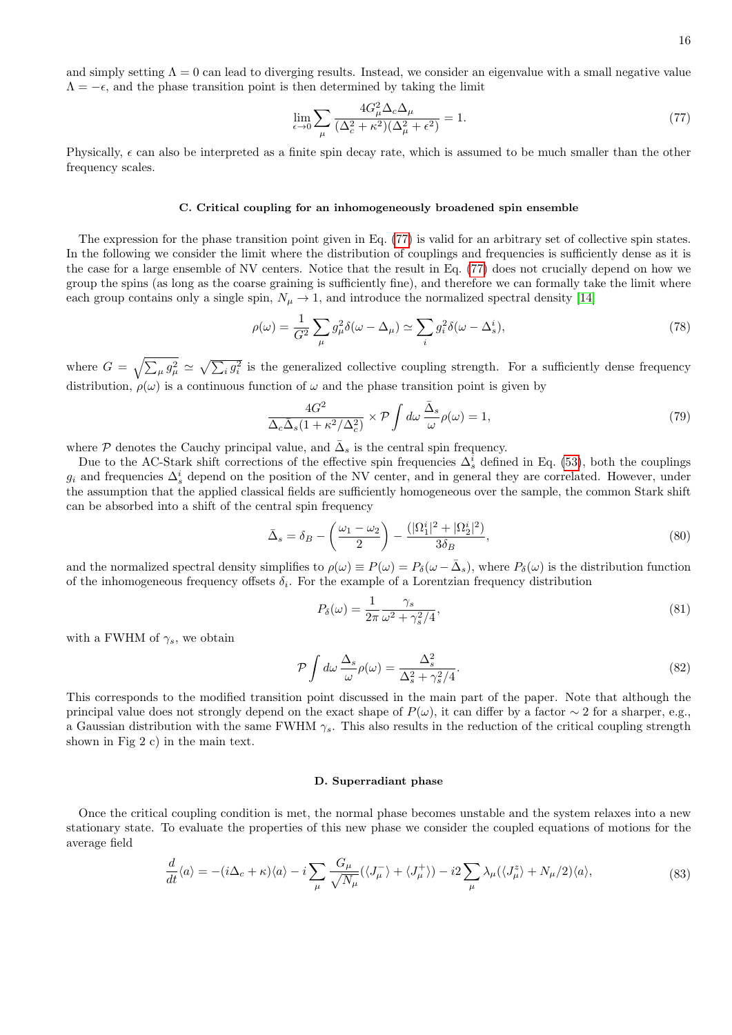16

and simply setting  $\Lambda = 0$  can lead to diverging results. Instead, we consider an eigenvalue with a small negative value  $\Lambda = -\epsilon$ , and the phase transition point is then determined by taking the limit

<span id="page-15-0"></span>
$$
\lim_{\epsilon \to 0} \sum_{\mu} \frac{4G_{\mu}^2 \Delta_c \Delta_{\mu}}{(\Delta_c^2 + \kappa^2)(\Delta_{\mu}^2 + \epsilon^2)} = 1. \tag{77}
$$

Physically,  $\epsilon$  can also be interpreted as a finite spin decay rate, which is assumed to be much smaller than the other frequency scales.

# C. Critical coupling for an inhomogeneously broadened spin ensemble

The expression for the phase transition point given in Eq. [\(77\)](#page-15-0) is valid for an arbitrary set of collective spin states. In the following we consider the limit where the distribution of couplings and frequencies is sufficiently dense as it is the case for a large ensemble of NV centers. Notice that the result in Eq. [\(77\)](#page-15-0) does not crucially depend on how we group the spins (as long as the coarse graining is sufficiently fine), and therefore we can formally take the limit where each group contains only a single spin,  $N_{\mu} \to 1$ , and introduce the normalized spectral density [\[14\]](#page-22-12)

$$
\rho(\omega) = \frac{1}{G^2} \sum_{\mu} g_{\mu}^2 \delta(\omega - \Delta_{\mu}) \simeq \sum_{i} g_i^2 \delta(\omega - \Delta_s^i), \tag{78}
$$

where  $G = \sqrt{\sum_{\mu} g_{\mu}^2} \simeq \sqrt{\sum_{i} g_i^2}$  is the generalized collective coupling strength. For a sufficiently dense frequency distribution,  $\rho(\omega)$  is a continuous function of  $\omega$  and the phase transition point is given by

$$
\frac{4G^2}{\Delta_c \bar{\Delta}_s (1 + \kappa^2/\Delta_c^2)} \times \mathcal{P} \int d\omega \, \frac{\bar{\Delta}_s}{\omega} \rho(\omega) = 1,\tag{79}
$$

where  $\mathcal P$  denotes the Cauchy principal value, and  $\bar{\Delta}_s$  is the central spin frequency.

Due to the AC-Stark shift corrections of the effective spin frequencies  $\Delta_s^i$  defined in Eq. [\(53\)](#page-12-1), both the couplings  $g_i$  and frequencies  $\Delta_s^i$  depend on the position of the NV center, and in general they are correlated. However, under the assumption that the applied classical fields are sufficiently homogeneous over the sample, the common Stark shift can be absorbed into a shift of the central spin frequency

$$
\bar{\Delta}_s = \delta_B - \left(\frac{\omega_1 - \omega_2}{2}\right) - \frac{(|\Omega_1^i|^2 + |\Omega_2^i|^2)}{3\delta_B},\tag{80}
$$

and the normalized spectral density simplifies to  $\rho(\omega) \equiv P(\omega) = P_\delta(\omega - \bar{\Delta}_s)$ , where  $P_\delta(\omega)$  is the distribution function of the inhomogeneous frequency offsets  $\delta_i$ . For the example of a Lorentzian frequency distribution

$$
P_{\delta}(\omega) = \frac{1}{2\pi} \frac{\gamma_s}{\omega^2 + \gamma_s^2/4},\tag{81}
$$

with a FWHM of  $\gamma_s$ , we obtain

$$
\mathcal{P} \int d\omega \, \frac{\Delta_s}{\omega} \rho(\omega) = \frac{\Delta_s^2}{\Delta_s^2 + \gamma_s^2/4}.\tag{82}
$$

This corresponds to the modified transition point discussed in the main part of the paper. Note that although the principal value does not strongly depend on the exact shape of  $P(\omega)$ , it can differ by a factor ∼ 2 for a sharper, e.g., a Gaussian distribution with the same FWHM  $\gamma_s$ . This also results in the reduction of the critical coupling strength shown in Fig 2 c) in the main text.

### D. Superradiant phase

Once the critical coupling condition is met, the normal phase becomes unstable and the system relaxes into a new stationary state. To evaluate the properties of this new phase we consider the coupled equations of motions for the average field

$$
\frac{d}{dt}\langle a\rangle = -\left(i\Delta_c + \kappa\right)\langle a\rangle - i\sum_{\mu} \frac{G_{\mu}}{\sqrt{N_{\mu}}} (\langle J_{\mu}^{-}\rangle + \langle J_{\mu}^{+}\rangle) - i2\sum_{\mu} \lambda_{\mu} (\langle J_{\mu}^{z}\rangle + N_{\mu}/2)\langle a\rangle, \tag{83}
$$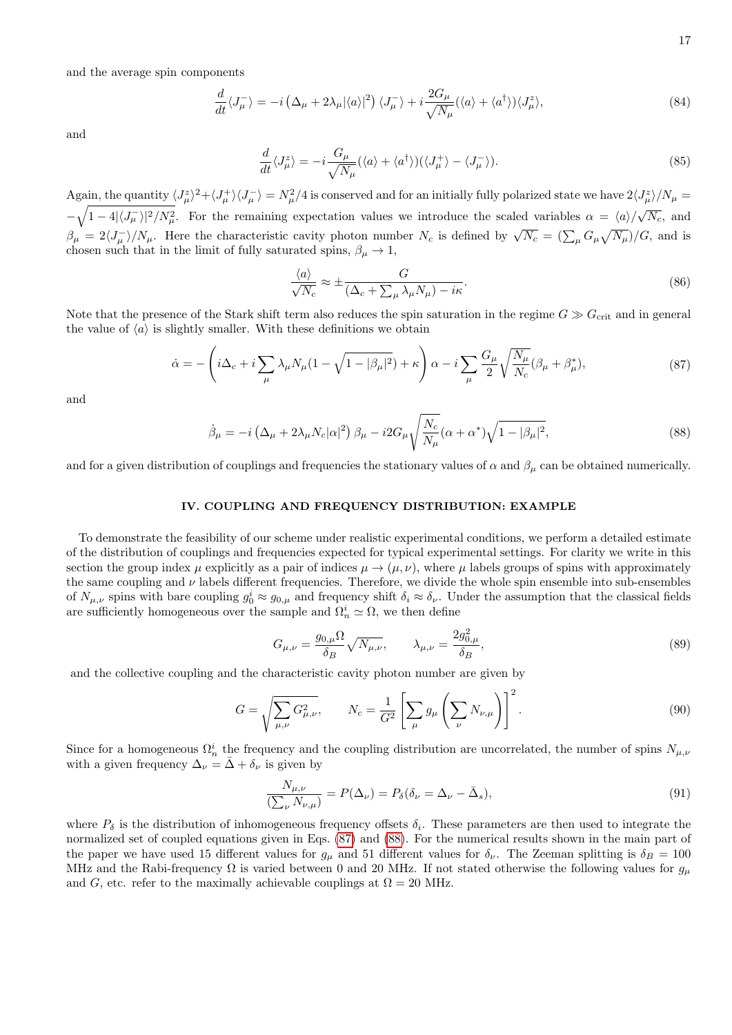and the average spin components

$$
\frac{d}{dt}\langle J_{\mu}^{-}\rangle = -i\left(\Delta_{\mu} + 2\lambda_{\mu}|\langle a\rangle|^{2}\right)\langle J_{\mu}^{-}\rangle + i\frac{2G_{\mu}}{\sqrt{N_{\mu}}}(\langle a\rangle + \langle a^{\dagger}\rangle)\langle J_{\mu}^{z}\rangle, \tag{84}
$$

and

$$
\frac{d}{dt}\langle J_{\mu}^{z}\rangle = -i\frac{G_{\mu}}{\sqrt{N_{\mu}}}(\langle a\rangle + \langle a^{\dagger}\rangle)(\langle J_{\mu}^{+}\rangle - \langle J_{\mu}^{-}\rangle). \tag{85}
$$

Again, the quantity  $\langle J^z_\mu\rangle^2+\langle J^+_\mu\rangle\langle J^-_\mu\rangle=N_\mu^2/4$  is conserved and for an initially fully polarized state we have  $2\langle J^z_\mu\rangle/N_\mu=$  $-\sqrt{1-4|\langle J_\mu\rangle|^2/N_\mu^2}$ . For the remaining expectation values we introduce the scaled variables  $\alpha = \langle a\rangle/\sqrt{N_c}$ , and  $\beta_{\mu} = 2\langle J_{\mu}^{-} \rangle / N_{\mu}$ . Here the characteristic cavity photon number  $N_c$  is defined by  $\sqrt{N_c} = (\sum_{\mu} G_{\mu} \sqrt{N_{\mu}}) / G$ , and is chosen such that in the limit of fully saturated spins,  $\beta_{\mu} \rightarrow 1$ ,

$$
\frac{\langle a \rangle}{\sqrt{N_c}} \approx \pm \frac{G}{(\Delta_c + \sum_{\mu} \lambda_{\mu} N_{\mu}) - i\kappa}.
$$
\n(86)

Note that the presence of the Stark shift term also reduces the spin saturation in the regime  $G \gg G_{\rm crit}$  and in general the value of  $\langle a \rangle$  is slightly smaller. With these definitions we obtain

$$
\dot{\alpha} = -\left(i\Delta_c + i\sum_{\mu} \lambda_{\mu} N_{\mu} (1 - \sqrt{1 - |\beta_{\mu}|^2}) + \kappa\right) \alpha - i \sum_{\mu} \frac{G_{\mu}}{2} \sqrt{\frac{N_{\mu}}{N_c}} (\beta_{\mu} + \beta_{\mu}^*),\tag{87}
$$

<span id="page-16-0"></span>and

<span id="page-16-1"></span>
$$
\dot{\beta}_{\mu} = -i \left( \Delta_{\mu} + 2\lambda_{\mu} N_c |\alpha|^2 \right) \beta_{\mu} - i2G_{\mu} \sqrt{\frac{N_c}{N_{\mu}}} (\alpha + \alpha^*) \sqrt{1 - |\beta_{\mu}|^2}, \tag{88}
$$

and for a given distribution of couplings and frequencies the stationary values of  $\alpha$  and  $\beta_\mu$  can be obtained numerically.

### IV. COUPLING AND FREQUENCY DISTRIBUTION: EXAMPLE

To demonstrate the feasibility of our scheme under realistic experimental conditions, we perform a detailed estimate of the distribution of couplings and frequencies expected for typical experimental settings. For clarity we write in this section the group index  $\mu$  explicitly as a pair of indices  $\mu \to (\mu, \nu)$ , where  $\mu$  labels groups of spins with approximately the same coupling and  $\nu$  labels different frequencies. Therefore, we divide the whole spin ensemble into sub-ensembles of  $N_{\mu,\nu}$  spins with bare coupling  $g_0^i \approx g_{0,\mu}$  and frequency shift  $\delta_i \approx \delta_{\nu}$ . Under the assumption that the classical fields are sufficiently homogeneous over the sample and  $\Omega_n^i \simeq \Omega$ , we then define

$$
G_{\mu,\nu} = \frac{g_{0,\mu}\Omega}{\delta_B} \sqrt{N_{\mu,\nu}}, \qquad \lambda_{\mu,\nu} = \frac{2g_{0,\mu}^2}{\delta_B},
$$
\n
$$
(89)
$$

and the collective coupling and the characteristic cavity photon number are given by

$$
G = \sqrt{\sum_{\mu,\nu} G_{\mu,\nu}^2}, \qquad N_c = \frac{1}{G^2} \left[ \sum_{\mu} g_{\mu} \left( \sum_{\nu} N_{\nu,\mu} \right) \right]^2.
$$
 (90)

Since for a homogeneous  $\Omega_n^i$  the frequency and the coupling distribution are uncorrelated, the number of spins  $N_{\mu,\nu}$ with a given frequency  $\Delta_{\nu} = \bar{\Delta} + \delta_{\nu}$  is given by

$$
\frac{N_{\mu,\nu}}{\left(\sum_{\nu} N_{\nu,\mu}\right)} = P(\Delta_{\nu}) = P_{\delta}(\delta_{\nu} = \Delta_{\nu} - \bar{\Delta}_{s}),\tag{91}
$$

where  $P_{\delta}$  is the distribution of inhomogeneous frequency offsets  $\delta_i$ . These parameters are then used to integrate the normalized set of coupled equations given in Eqs. [\(87\)](#page-16-0) and [\(88\)](#page-16-1). For the numerical results shown in the main part of the paper we have used 15 different values for  $g_\mu$  and 51 different values for  $\delta_\nu$ . The Zeeman splitting is  $\delta_B = 100$ MHz and the Rabi-frequency  $\Omega$  is varied between 0 and 20 MHz. If not stated otherwise the following values for  $g_{\mu}$ and G, etc. refer to the maximally achievable couplings at  $\Omega = 20$  MHz.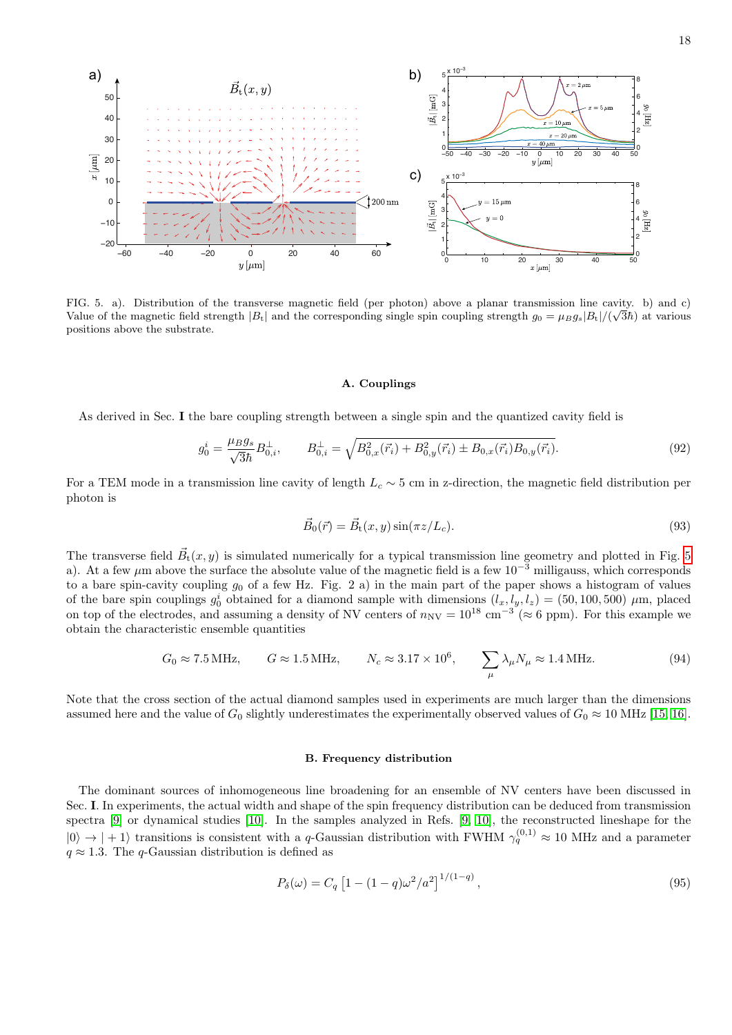

<span id="page-17-0"></span>FIG. 5. a). Distribution of the transverse magnetic field (per photon) above a planar transmission line cavity. b) and c) Value of the magnetic field strength  $|B_t|$  and the corresponding single spin coupling strength  $g_0 = \mu_B g_s |B_t|/(\sqrt{3\hbar})$  at various positions above the substrate.

# A. Couplings

As derived in Sec. I the bare coupling strength between a single spin and the quantized cavity field is

$$
g_0^i = \frac{\mu_B g_s}{\sqrt{3\hbar}} B_{0,i}^\perp, \qquad B_{0,i}^\perp = \sqrt{B_{0,x}^2(\vec{r}_i) + B_{0,y}^2(\vec{r}_i) \pm B_{0,x}(\vec{r}_i) B_{0,y}(\vec{r}_i)}.\tag{92}
$$

For a TEM mode in a transmission line cavity of length  $L_c \sim 5$  cm in z-direction, the magnetic field distribution per photon is

$$
\vec{B}_0(\vec{r}) = \vec{B}_t(x, y)\sin(\pi z/L_c). \tag{93}
$$

The transverse field  $\vec{B}_t(x, y)$  is simulated numerically for a typical transmission line geometry and plotted in Fig. [5](#page-17-0) a). At a few  $\mu$ m above the surface the absolute value of the magnetic field is a few 10<sup>-3</sup> milligauss, which corresponds to a bare spin-cavity coupling  $g_0$  of a few Hz. Fig. 2 a) in the main part of the paper shows a histogram of values of the bare spin couplings  $g_0^i$  obtained for a diamond sample with dimensions  $(l_x, l_y, l_z) = (50, 100, 500) \mu$ m, placed on top of the electrodes, and assuming a density of NV centers of  $n_{\text{NV}} = 10^{18} \text{ cm}^{-3} (\approx 6 \text{ ppm})$ . For this example we obtain the characteristic ensemble quantities

$$
G_0 \approx 7.5 \text{ MHz}, \qquad G \approx 1.5 \text{ MHz}, \qquad N_c \approx 3.17 \times 10^6, \qquad \sum_{\mu} \lambda_{\mu} N_{\mu} \approx 1.4 \text{ MHz}. \tag{94}
$$

Note that the cross section of the actual diamond samples used in experiments are much larger than the dimensions assumed here and the value of  $G_0$  slightly underestimates the experimentally observed values of  $G_0 \approx 10 \text{ MHz}$  [\[15,](#page-22-13) [16\]](#page-22-14).

# B. Frequency distribution

The dominant sources of inhomogeneous line broadening for an ensemble of NV centers have been discussed in Sec. I. In experiments, the actual width and shape of the spin frequency distribution can be deduced from transmission spectra [\[9\]](#page-22-8) or dynamical studies [\[10\]](#page-22-9). In the samples analyzed in Refs. [\[9,](#page-22-8) [10\]](#page-22-9), the reconstructed lineshape for the  $|0\rangle \rightarrow |+1\rangle$  transitions is consistent with a q-Gaussian distribution with FWHM  $\gamma_q^{(0,1)} \approx 10$  MHz and a parameter  $q \approx 1.3$ . The q-Gaussian distribution is defined as

$$
P_{\delta}(\omega) = C_q \left[ 1 - (1 - q)\omega^2 / a^2 \right]^{1/(1-q)}, \qquad (95)
$$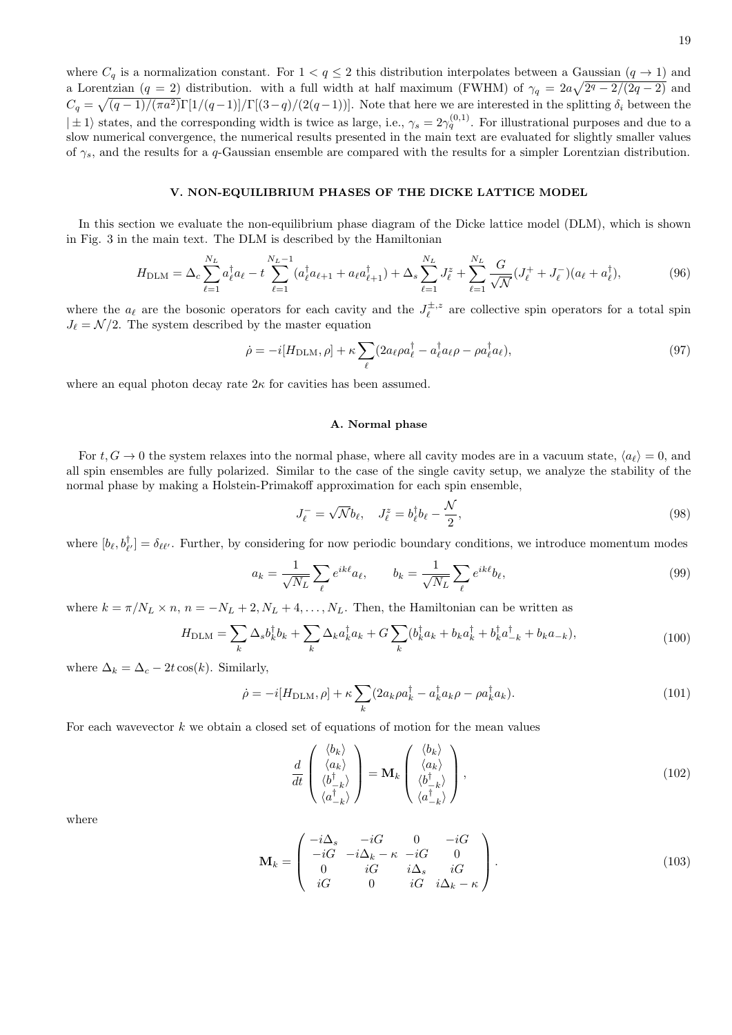where  $C_q$  is a normalization constant. For  $1 < q \leq 2$  this distribution interpolates between a Gaussian  $(q \to 1)$  and a Lorentzian  $(q = 2)$  distribution. with a full width at half maximum (FWHM) of  $\gamma_q = 2a\sqrt{2^q - 2/(2q-2)}$  and  $C_q = \sqrt{(q-1)/(\pi a^2)} \Gamma[1/(q-1)]/\Gamma[(3-q)/(2(q-1))]$ . Note that here we are interested in the splitting  $\delta_i$  between the  $|\pm 1\rangle$  states, and the corresponding width is twice as large, i.e.,  $\gamma_s = 2\gamma_q^{(0,1)}$ . For illustrational purposes and due to a slow numerical convergence, the numerical results presented in the main text are evaluated for slightly smaller values of  $\gamma_s$ , and the results for a q-Gaussian ensemble are compared with the results for a simpler Lorentzian distribution.

# V. NON-EQUILIBRIUM PHASES OF THE DICKE LATTICE MODEL

In this section we evaluate the non-equilibrium phase diagram of the Dicke lattice model (DLM), which is shown in Fig. 3 in the main text. The DLM is described by the Hamiltonian

$$
H_{\text{DLM}} = \Delta_c \sum_{\ell=1}^{N_L} a_{\ell}^{\dagger} a_{\ell} - t \sum_{\ell=1}^{N_L - 1} (a_{\ell}^{\dagger} a_{\ell+1} + a_{\ell} a_{\ell+1}^{\dagger}) + \Delta_s \sum_{\ell=1}^{N_L} J_{\ell}^z + \sum_{\ell=1}^{N_L} \frac{G}{\sqrt{N}} (J_{\ell}^+ + J_{\ell}^-) (a_{\ell} + a_{\ell}^{\dagger}), \tag{96}
$$

<span id="page-18-0"></span>where the  $a_\ell$  are the bosonic operators for each cavity and the  $J_\ell^{\pm,z}$  are collective spin operators for a total spin  $J_{\ell} = \mathcal{N}/2$ . The system described by the master equation

$$
\dot{\rho} = -i[H_{\text{DLM}}, \rho] + \kappa \sum_{\ell} (2a_{\ell}\rho a_{\ell}^{\dagger} - a_{\ell}^{\dagger}a_{\ell}\rho - \rho a_{\ell}^{\dagger}a_{\ell}), \tag{97}
$$

where an equal photon decay rate  $2\kappa$  for cavities has been assumed.

# A. Normal phase

For  $t, G \to 0$  the system relaxes into the normal phase, where all cavity modes are in a vacuum state,  $\langle a_{\ell} \rangle = 0$ , and all spin ensembles are fully polarized. Similar to the case of the single cavity setup, we analyze the stability of the normal phase by making a Holstein-Primakoff approximation for each spin ensemble,

$$
J_{\ell}^- = \sqrt{N}b_{\ell}, \quad J_{\ell}^z = b_{\ell}^{\dagger}b_{\ell} - \frac{\mathcal{N}}{2},\tag{98}
$$

where  $[b_\ell, b_{\ell'}^{\dagger}] = \delta_{\ell\ell'}$ . Further, by considering for now periodic boundary conditions, we introduce momentum modes

$$
a_k = \frac{1}{\sqrt{N_L}} \sum_{\ell} e^{ik\ell} a_\ell, \qquad b_k = \frac{1}{\sqrt{N_L}} \sum_{\ell} e^{ik\ell} b_\ell,
$$
\n
$$
(99)
$$

where  $k = \pi/N_L \times n$ ,  $n = -N_L + 2$ ,  $N_L + 4, \ldots, N_L$ . Then, the Hamiltonian can be written as

$$
H_{\text{DLM}} = \sum_{k} \Delta_s b_k^{\dagger} b_k + \sum_{k} \Delta_k a_k^{\dagger} a_k + G \sum_{k} (b_k^{\dagger} a_k + b_k a_k^{\dagger} + b_k^{\dagger} a_{-k}^{\dagger} + b_k a_{-k}), \tag{100}
$$

where  $\Delta_k = \Delta_c - 2t \cos(k)$ . Similarly,

$$
\dot{\rho} = -i[H_{\text{DLM}}, \rho] + \kappa \sum_{k} (2a_k \rho a_k^{\dagger} - a_k^{\dagger} a_k \rho - \rho a_k^{\dagger} a_k). \tag{101}
$$

For each wavevector  $k$  we obtain a closed set of equations of motion for the mean values

$$
\frac{d}{dt}\begin{pmatrix}\n\langle b_k \rangle \\
\langle a_k \rangle \\
\langle b_{-k}^{\dagger} \rangle \\
\langle a_{-k}^{\dagger} \rangle\n\end{pmatrix} = \mathbf{M}_k \begin{pmatrix}\n\langle b_k \rangle \\
\langle a_k \rangle \\
\langle b_{-k}^{\dagger} \rangle \\
\langle a_{-k}^{\dagger} \rangle\n\end{pmatrix},
$$
\n(102)

where

$$
\mathbf{M}_{k} = \begin{pmatrix} -i\Delta_{s} & -iG & 0 & -iG \\ -iG & -i\Delta_{k} - \kappa & -iG & 0 \\ 0 & iG & i\Delta_{s} & iG \\ iG & 0 & iG & i\Delta_{k} - \kappa \end{pmatrix}.
$$
 (103)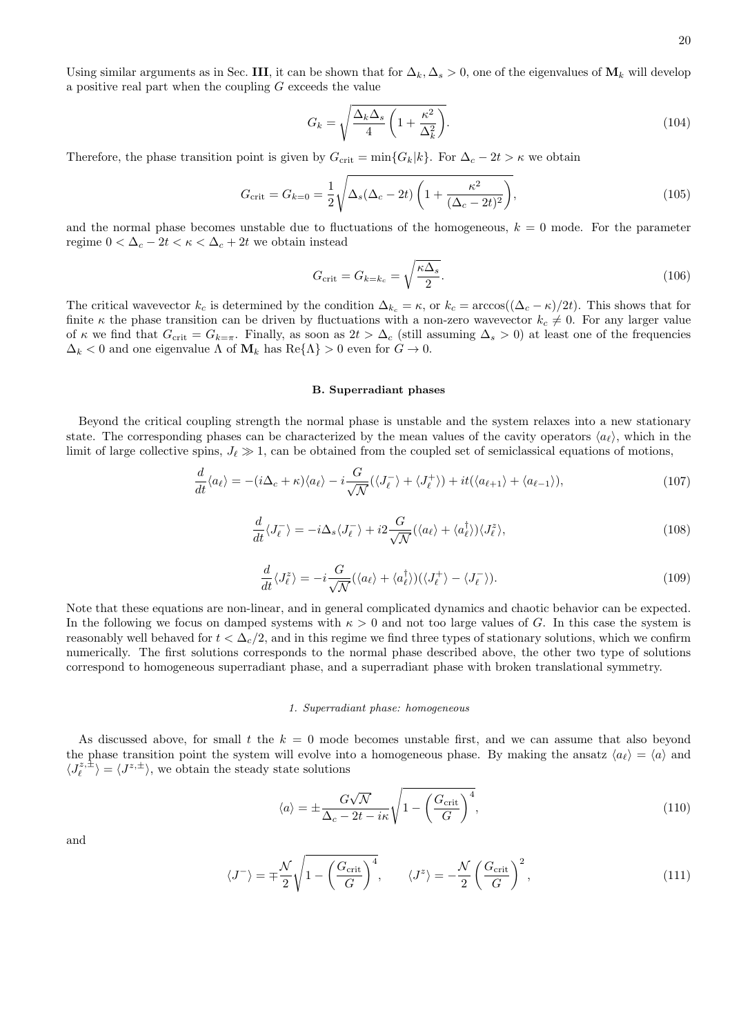Using similar arguments as in Sec. III, it can be shown that for  $\Delta_k$ ,  $\Delta_s > 0$ , one of the eigenvalues of  $\mathbf{M}_k$  will develop a positive real part when the coupling  $G$  exceeds the value

$$
G_k = \sqrt{\frac{\Delta_k \Delta_s}{4} \left(1 + \frac{\kappa^2}{\Delta_k^2}\right)}.
$$
\n(104)

Therefore, the phase transition point is given by  $G_{\rm crit} = \min\{G_k|k\}$ . For  $\Delta_c - 2t > \kappa$  we obtain

$$
G_{\rm crit} = G_{k=0} = \frac{1}{2} \sqrt{\Delta_s (\Delta_c - 2t) \left( 1 + \frac{\kappa^2}{(\Delta_c - 2t)^2} \right)},
$$
\n(105)

and the normal phase becomes unstable due to fluctuations of the homogeneous,  $k = 0$  mode. For the parameter regime  $0 < \Delta_c - 2t < \kappa < \Delta_c + 2t$  we obtain instead

$$
G_{\rm crit} = G_{k=k_c} = \sqrt{\frac{\kappa \Delta_s}{2}}.\tag{106}
$$

The critical wavevector  $k_c$  is determined by the condition  $\Delta_{k_c} = \kappa$ , or  $k_c = \arccos((\Delta_c - \kappa)/2t)$ . This shows that for finite  $\kappa$  the phase transition can be driven by fluctuations with a non-zero wavevector  $k_c \neq 0$ . For any larger value of  $\kappa$  we find that  $G_{\text{crit}} = G_{k=\pi}$ . Finally, as soon as  $2t > \Delta_c$  (still assuming  $\Delta_s > 0$ ) at least one of the frequencies  $\Delta_k$  < 0 and one eigenvalue  $\Lambda$  of  $\mathbf{M}_k$  has  $\text{Re}\{\Lambda\} > 0$  even for  $G \to 0$ .

### B. Superradiant phases

<span id="page-19-0"></span>Beyond the critical coupling strength the normal phase is unstable and the system relaxes into a new stationary state. The corresponding phases can be characterized by the mean values of the cavity operators  $\langle a_{\ell} \rangle$ , which in the limit of large collective spins,  $J_{\ell} \gg 1$ , can be obtained from the coupled set of semiclassical equations of motions,

$$
\frac{d}{dt}\langle a_{\ell}\rangle = -(i\Delta_{c}+\kappa)\langle a_{\ell}\rangle - i\frac{G}{\sqrt{\mathcal{N}}}(\langle J_{\ell}^{-}\rangle + \langle J_{\ell}^{+}\rangle) + it(\langle a_{\ell+1}\rangle + \langle a_{\ell-1}\rangle),\tag{107}
$$

$$
\frac{d}{dt}\langle J_{\ell}^{-}\rangle = -i\Delta_{s}\langle J_{\ell}^{-}\rangle + i2\frac{G}{\sqrt{\mathcal{N}}}(\langle a_{\ell}\rangle + \langle a_{\ell}^{\dagger}\rangle)\langle J_{\ell}^{z}\rangle, \tag{108}
$$

<span id="page-19-1"></span>
$$
\frac{d}{dt}\langle J_{\ell}^{z}\rangle = -i\frac{G}{\sqrt{\mathcal{N}}}(\langle a_{\ell}\rangle + \langle a_{\ell}^{\dagger}\rangle)(\langle J_{\ell}^{+}\rangle - \langle J_{\ell}^{-}\rangle). \tag{109}
$$

Note that these equations are non-linear, and in general complicated dynamics and chaotic behavior can be expected. In the following we focus on damped systems with  $\kappa > 0$  and not too large values of G. In this case the system is reasonably well behaved for  $t < \Delta_c/2$ , and in this regime we find three types of stationary solutions, which we confirm numerically. The first solutions corresponds to the normal phase described above, the other two type of solutions correspond to homogeneous superradiant phase, and a superradiant phase with broken translational symmetry.

### 1. Superradiant phase: homogeneous

As discussed above, for small t the  $k = 0$  mode becomes unstable first, and we can assume that also beyond the phase transition point the system will evolve into a homogeneous phase. By making the ansatz  $\langle a_{\ell} \rangle = \langle a \rangle$  and  $\langle J_{\ell}^{z,\pm} \rangle = \langle J^{z,\pm} \rangle$ , we obtain the steady state solutions

$$
\langle a \rangle = \pm \frac{G\sqrt{\mathcal{N}}}{\Delta_c - 2t - i\kappa} \sqrt{1 - \left(\frac{G_{\text{crit}}}{G}\right)^4},\tag{110}
$$

and

$$
\langle J^{-} \rangle = \pm \frac{\mathcal{N}}{2} \sqrt{1 - \left(\frac{G_{\text{crit}}}{G}\right)^4}, \qquad \langle J^z \rangle = -\frac{\mathcal{N}}{2} \left(\frac{G_{\text{crit}}}{G}\right)^2, \tag{111}
$$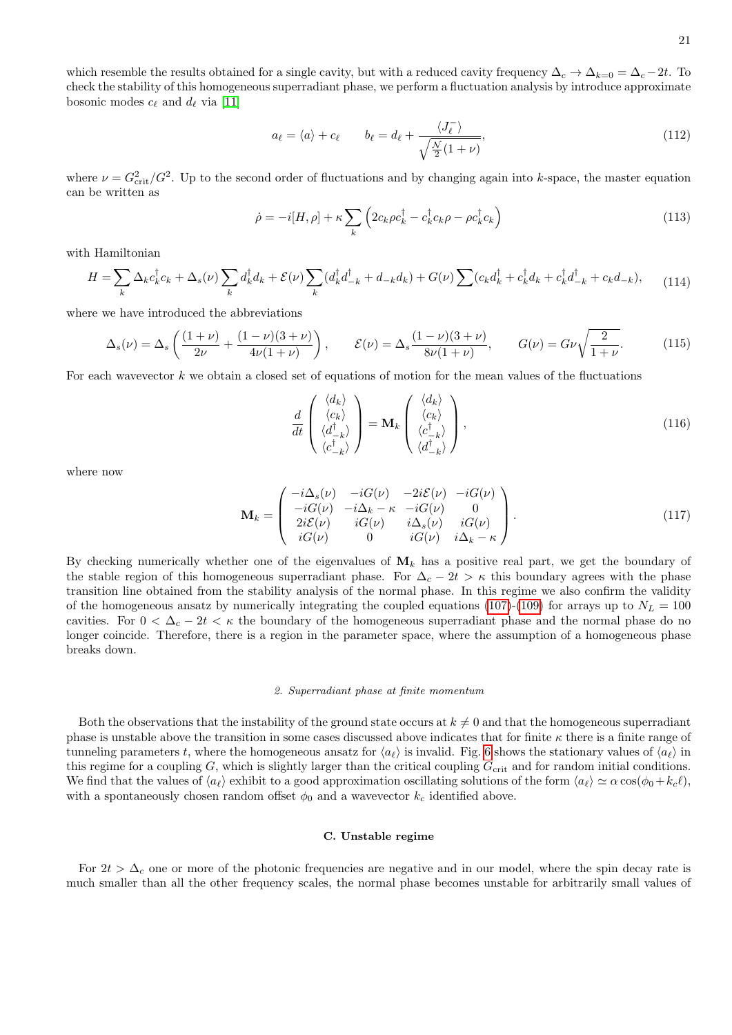which resemble the results obtained for a single cavity, but with a reduced cavity frequency  $\Delta_c \to \Delta_{k=0} = \Delta_c - 2t$ . To check the stability of this homogeneous superradiant phase, we perform a fluctuation analysis by introduce approximate bosonic modes  $c_{\ell}$  and  $d_{\ell}$  via [\[11\]](#page-22-10)

$$
a_{\ell} = \langle a \rangle + c_{\ell} \qquad b_{\ell} = d_{\ell} + \frac{\langle J_{\ell}^{-} \rangle}{\sqrt{\frac{\mathcal{N}}{2}(1+\nu)}},\tag{112}
$$

where  $\nu = G_{\text{crit}}^2/G^2$ . Up to the second order of fluctuations and by changing again into k-space, the master equation can be written as

$$
\dot{\rho} = -i[H, \rho] + \kappa \sum_{k} \left( 2c_k \rho c_k^{\dagger} - c_k^{\dagger} c_k \rho - \rho c_k^{\dagger} c_k \right)
$$
\n(113)

with Hamiltonian

$$
H = \sum_{k} \Delta_{k} c_{k}^{\dagger} c_{k} + \Delta_{s}(\nu) \sum_{k} d_{k}^{\dagger} d_{k} + \mathcal{E}(\nu) \sum_{k} (d_{k}^{\dagger} d_{-k}^{\dagger} + d_{-k} d_{k}) + G(\nu) \sum (c_{k} d_{k}^{\dagger} + c_{k}^{\dagger} d_{k} + c_{k}^{\dagger} d_{-k}^{\dagger} + c_{k} d_{-k}), \tag{114}
$$

where we have introduced the abbreviations

$$
\Delta_s(\nu) = \Delta_s \left( \frac{(1+\nu)}{2\nu} + \frac{(1-\nu)(3+\nu)}{4\nu(1+\nu)} \right), \qquad \mathcal{E}(\nu) = \Delta_s \frac{(1-\nu)(3+\nu)}{8\nu(1+\nu)}, \qquad G(\nu) = G\nu \sqrt{\frac{2}{1+\nu}}.
$$
 (115)

For each wavevector  $k$  we obtain a closed set of equations of motion for the mean values of the fluctuations

$$
\frac{d}{dt} \begin{pmatrix} \langle d_k \rangle \\ \langle c_k \rangle \\ \langle d_{-k}^{\dagger} \rangle \\ \langle c_{-k}^{\dagger} \rangle \end{pmatrix} = \mathbf{M}_k \begin{pmatrix} \langle d_k \rangle \\ \langle c_k \rangle \\ \langle c_{-k}^{\dagger} \rangle \\ \langle d_{-k}^{\dagger} \rangle \end{pmatrix},
$$
\n(116)

where now

$$
\mathbf{M}_{k} = \begin{pmatrix} -i\Delta_{s}(\nu) & -iG(\nu) & -2i\mathcal{E}(\nu) & -iG(\nu) \\ -iG(\nu) & -i\Delta_{k} - \kappa & -iG(\nu) & 0 \\ 2i\mathcal{E}(\nu) & iG(\nu) & i\Delta_{s}(\nu) & iG(\nu) \\ iG(\nu) & 0 & iG(\nu) & i\Delta_{k} - \kappa \end{pmatrix}.
$$
\n(117)

By checking numerically whether one of the eigenvalues of  $M_k$  has a positive real part, we get the boundary of the stable region of this homogeneous superradiant phase. For  $\Delta_c - 2t > \kappa$  this boundary agrees with the phase transition line obtained from the stability analysis of the normal phase. In this regime we also confirm the validity of the homogeneous ansatz by numerically integrating the coupled equations [\(107\)](#page-19-0)-[\(109\)](#page-19-1) for arrays up to  $N_L = 100$ cavities. For  $0 < \Delta_c - 2t < \kappa$  the boundary of the homogeneous superradiant phase and the normal phase do no longer coincide. Therefore, there is a region in the parameter space, where the assumption of a homogeneous phase breaks down.

# 2. Superradiant phase at finite momentum

Both the observations that the instability of the ground state occurs at  $k \neq 0$  and that the homogeneous superradiant phase is unstable above the transition in some cases discussed above indicates that for finite  $\kappa$  there is a finite range of tunneling parameters t, where the homogeneous ansatz for  $\langle a_\ell \rangle$  is invalid. Fig. [6](#page-21-0) shows the stationary values of  $\langle a_\ell \rangle$  in this regime for a coupling  $G$ , which is slightly larger than the critical coupling  $G_{\text{crit}}$  and for random initial conditions. We find that the values of  $\langle a_\ell \rangle$  exhibit to a good approximation oscillating solutions of the form  $\langle a_\ell \rangle \simeq \alpha \cos(\phi_0 + k_c\ell)$ , with a spontaneously chosen random offset  $\phi_0$  and a wavevector  $k_c$  identified above.

### C. Unstable regime

For  $2t > \Delta_c$  one or more of the photonic frequencies are negative and in our model, where the spin decay rate is much smaller than all the other frequency scales, the normal phase becomes unstable for arbitrarily small values of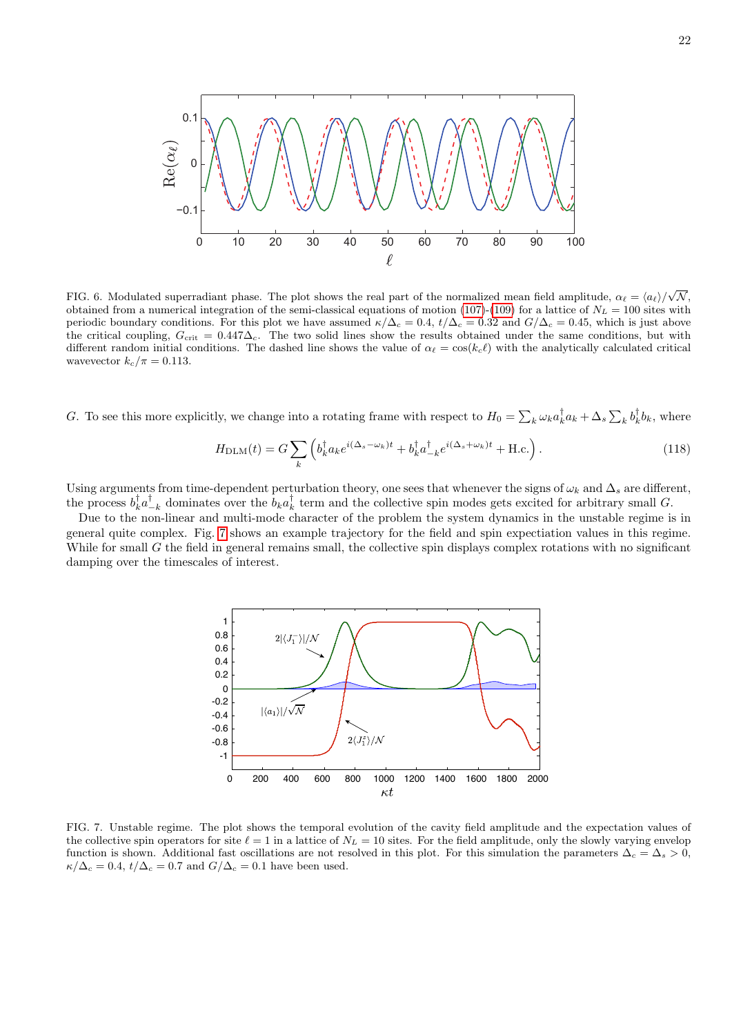

<span id="page-21-0"></span>FIG. 6. Modulated superradiant phase. The plot shows the real part of the normalized mean field amplitude,  $\alpha_{\ell} = \langle a_{\ell} \rangle / \sqrt{\mathcal{N}}$ , obtained from a numerical integration of the semi-classical equations of motion [\(107\)](#page-19-0)-[\(109\)](#page-19-1) for a lattice of  $N_L = 100$  sites with periodic boundary conditions. For this plot we have assumed  $\kappa/\Delta_c = 0.4$ ,  $t/\Delta_c = 0.32$  and  $G/\Delta_c = 0.45$ , which is just above the critical coupling,  $G_{\text{crit}} = 0.447\Delta_c$ . The two solid lines show the results obtained under the same conditions, but with different random initial conditions. The dashed line shows the value of  $\alpha_\ell = \cos(k_c\ell)$  with the analytically calculated critical wavevector  $k_c/\pi = 0.113$ .

G. To see this more explicitly, we change into a rotating frame with respect to  $H_0 = \sum_k \omega_k a_k^{\dagger} a_k + \Delta_s \sum_k b_k^{\dagger} b_k$ , where

$$
H_{\text{DLM}}(t) = G \sum_{k} \left( b_k^{\dagger} a_k e^{i(\Delta_s - \omega_k)t} + b_k^{\dagger} a_{-k}^{\dagger} e^{i(\Delta_s + \omega_k)t} + \text{H.c.} \right). \tag{118}
$$

Using arguments from time-dependent perturbation theory, one sees that whenever the signs of  $\omega_k$  and  $\Delta_s$  are different, the process  $b_k^{\dagger} a_{-k}^{\dagger}$  dominates over the  $b_k a_k^{\dagger}$  term and the collective spin modes gets excited for arbitrary small G.

Due to the non-linear and multi-mode character of the problem the system dynamics in the unstable regime is in general quite complex. Fig. [7](#page-21-1) shows an example trajectory for the field and spin expectiation values in this regime. While for small  $G$  the field in general remains small, the collective spin displays complex rotations with no significant damping over the timescales of interest.



<span id="page-21-1"></span>FIG. 7. Unstable regime. The plot shows the temporal evolution of the cavity field amplitude and the expectation values of the collective spin operators for site  $\ell = 1$  in a lattice of  $N_L = 10$  sites. For the field amplitude, only the slowly varying envelop function is shown. Additional fast oscillations are not resolved in this plot. For this simulation the parameters  $\Delta_c = \Delta_s > 0$ ,  $\kappa/\Delta_c = 0.4$ ,  $t/\Delta_c = 0.7$  and  $G/\Delta_c = 0.1$  have been used.